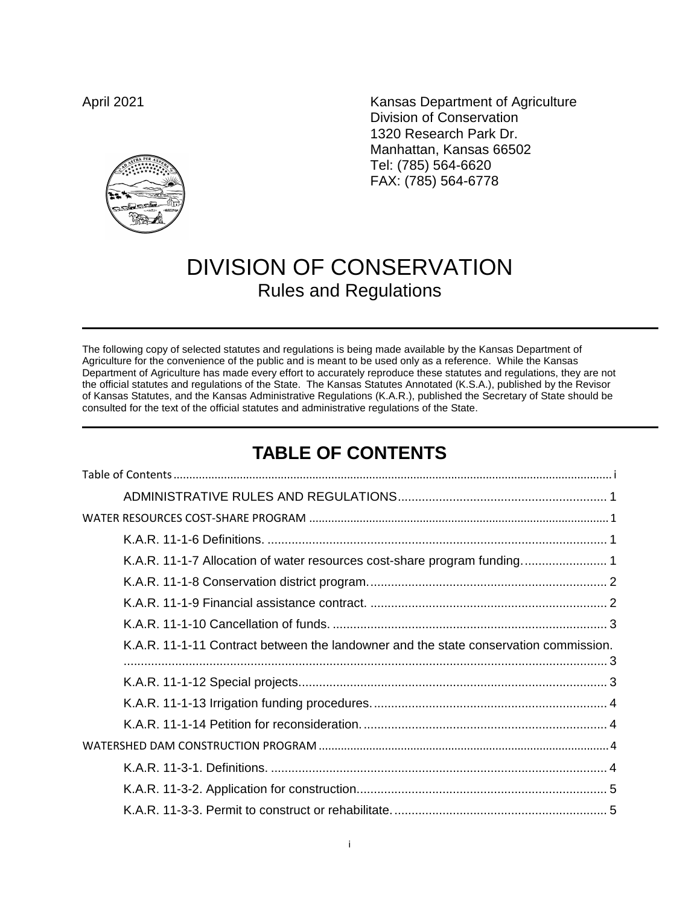**Desir** 

April 2021 **Kansas Department of Agriculture** Division of Conservation 1320 Research Park Dr. Manhattan, Kansas 66502 Tel: (785) 564-6620 FAX: (785) 564-6778

# DIVISION OF CONSERVATION Rules and Regulations

The following copy of selected statutes and regulations is being made available by the Kansas Department of Agriculture for the convenience of the public and is meant to be used only as a reference. While the Kansas Department of Agriculture has made every effort to accurately reproduce these statutes and regulations, they are not the official statutes and regulations of the State. The Kansas Statutes Annotated (K.S.A.), published by the Revisor of Kansas Statutes, and the Kansas Administrative Regulations (K.A.R.), published the Secretary of State should be consulted for the text of the official statutes and administrative regulations of the State.

## **TABLE OF CONTENTS**

<span id="page-0-0"></span>

| K.A.R. 11-1-11 Contract between the landowner and the state conservation commission. |
|--------------------------------------------------------------------------------------|
|                                                                                      |
|                                                                                      |
|                                                                                      |
|                                                                                      |
|                                                                                      |
|                                                                                      |
|                                                                                      |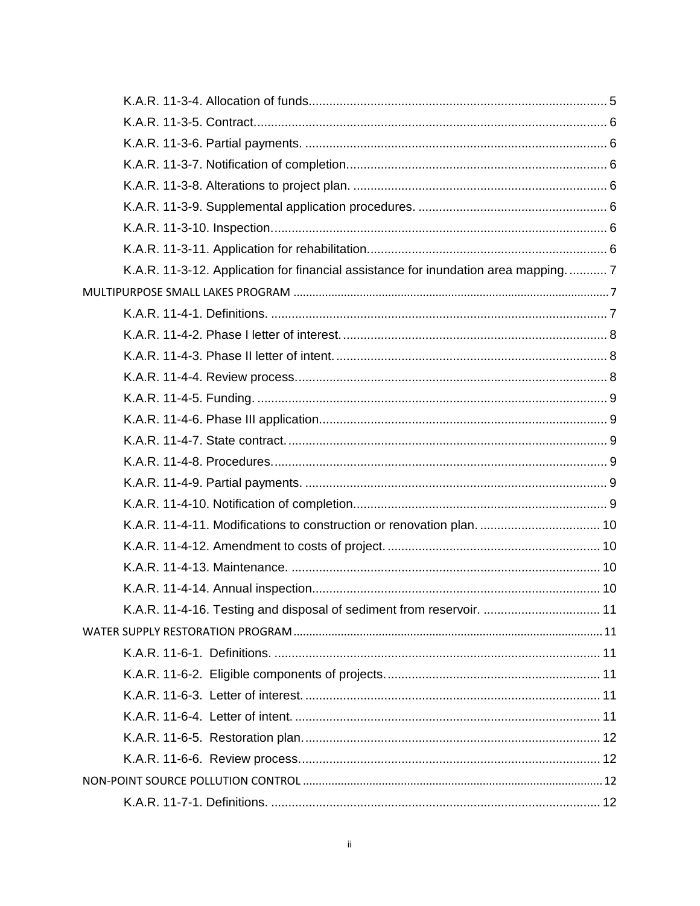| K.A.R. 11-3-12. Application for financial assistance for inundation area mapping 7 |  |
|------------------------------------------------------------------------------------|--|
|                                                                                    |  |
|                                                                                    |  |
|                                                                                    |  |
|                                                                                    |  |
|                                                                                    |  |
|                                                                                    |  |
|                                                                                    |  |
|                                                                                    |  |
|                                                                                    |  |
|                                                                                    |  |
|                                                                                    |  |
| K.A.R. 11-4-11. Modifications to construction or renovation plan.  10              |  |
|                                                                                    |  |
|                                                                                    |  |
|                                                                                    |  |
| K.A.R. 11-4-16. Testing and disposal of sediment from reservoir.  11               |  |
|                                                                                    |  |
|                                                                                    |  |
|                                                                                    |  |
|                                                                                    |  |
|                                                                                    |  |
|                                                                                    |  |
|                                                                                    |  |
|                                                                                    |  |
|                                                                                    |  |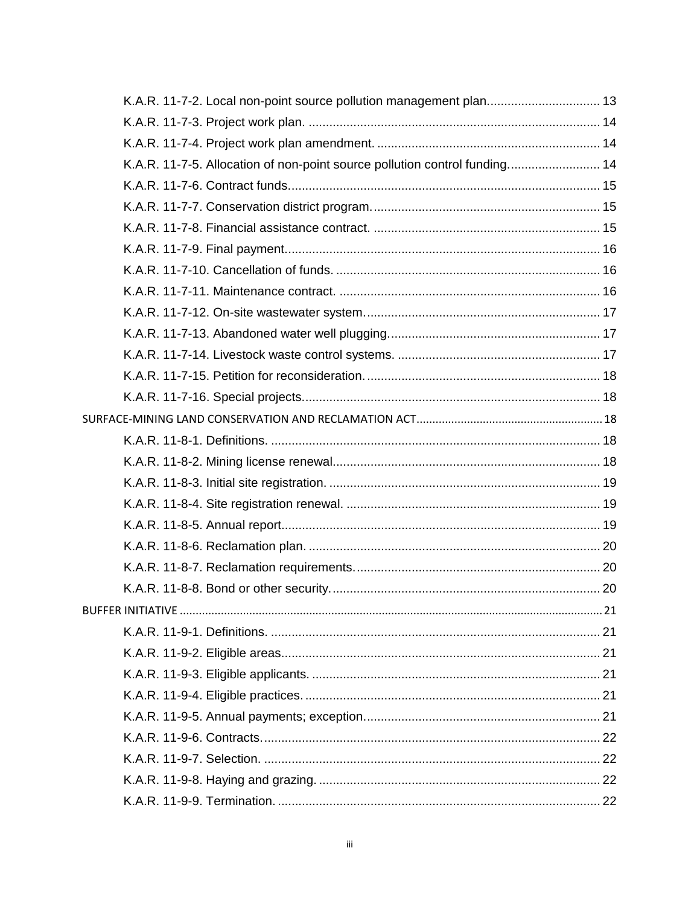| K.A.R. 11-7-5. Allocation of non-point source pollution control funding 14 | K.A.R. 11-7-2. Local non-point source pollution management plan 13 |  |
|----------------------------------------------------------------------------|--------------------------------------------------------------------|--|
|                                                                            |                                                                    |  |
|                                                                            |                                                                    |  |
|                                                                            |                                                                    |  |
|                                                                            |                                                                    |  |
|                                                                            |                                                                    |  |
|                                                                            |                                                                    |  |
|                                                                            |                                                                    |  |
|                                                                            |                                                                    |  |
|                                                                            |                                                                    |  |
|                                                                            |                                                                    |  |
|                                                                            |                                                                    |  |
|                                                                            |                                                                    |  |
|                                                                            |                                                                    |  |
|                                                                            |                                                                    |  |
|                                                                            |                                                                    |  |
|                                                                            |                                                                    |  |
|                                                                            |                                                                    |  |
|                                                                            |                                                                    |  |
|                                                                            |                                                                    |  |
|                                                                            |                                                                    |  |
|                                                                            |                                                                    |  |
|                                                                            |                                                                    |  |
|                                                                            |                                                                    |  |
|                                                                            |                                                                    |  |
|                                                                            |                                                                    |  |
|                                                                            |                                                                    |  |
|                                                                            |                                                                    |  |
|                                                                            |                                                                    |  |
|                                                                            |                                                                    |  |
|                                                                            |                                                                    |  |
|                                                                            |                                                                    |  |
|                                                                            |                                                                    |  |
|                                                                            |                                                                    |  |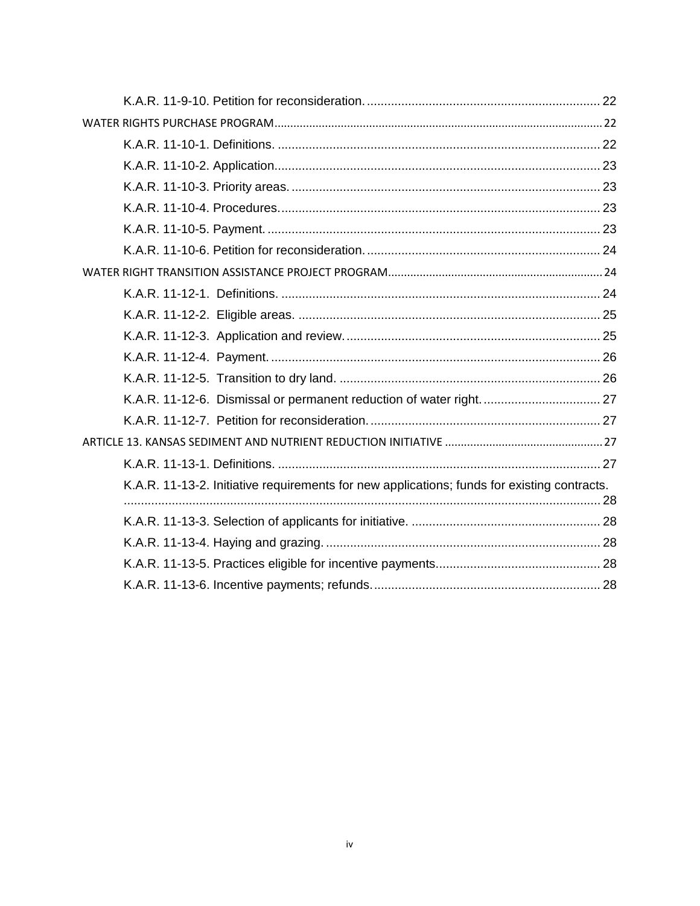| K.A.R. 11-13-2. Initiative requirements for new applications; funds for existing contracts. |
|---------------------------------------------------------------------------------------------|
|                                                                                             |
|                                                                                             |
|                                                                                             |
|                                                                                             |
|                                                                                             |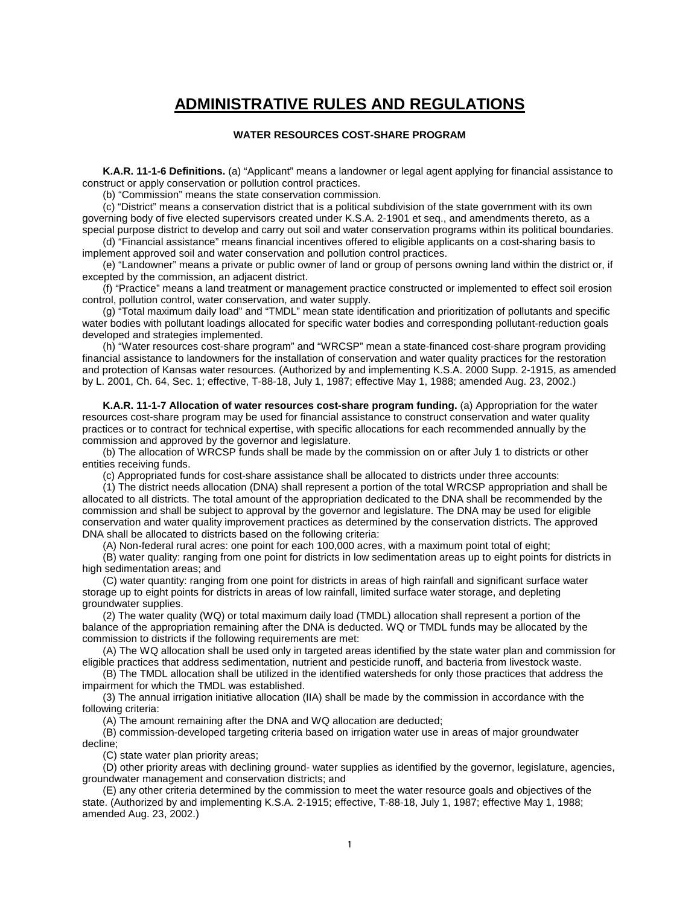### **ADMINISTRATIVE RULES AND REGULATIONS**

#### **WATER RESOURCES COST-SHARE PROGRAM**

<span id="page-4-2"></span><span id="page-4-1"></span><span id="page-4-0"></span>**K.A.R. 11-1-6 Definitions.** (a) "Applicant" means a landowner or legal agent applying for financial assistance to construct or apply conservation or pollution control practices.

(b) "Commission" means the state conservation commission.

(c) "District" means a conservation district that is a political subdivision of the state government with its own governing body of five elected supervisors created under K.S.A. 2-1901 et seq., and amendments thereto, as a special purpose district to develop and carry out soil and water conservation programs within its political boundaries.

(d) "Financial assistance" means financial incentives offered to eligible applicants on a cost-sharing basis to implement approved soil and water conservation and pollution control practices.

(e) "Landowner" means a private or public owner of land or group of persons owning land within the district or, if excepted by the commission, an adjacent district.

(f) "Practice" means a land treatment or management practice constructed or implemented to effect soil erosion control, pollution control, water conservation, and water supply.

(g) "Total maximum daily load" and "TMDL" mean state identification and prioritization of pollutants and specific water bodies with pollutant loadings allocated for specific water bodies and corresponding pollutant-reduction goals developed and strategies implemented.

(h) "Water resources cost-share program" and "WRCSP" mean a state-financed cost-share program providing financial assistance to landowners for the installation of conservation and water quality practices for the restoration and protection of Kansas water resources. (Authorized by and implementing K.S.A. 2000 Supp. 2-1915, as amended by L. 2001, Ch. 64, Sec. 1; effective, T-88-18, July 1, 1987; effective May 1, 1988; amended Aug. 23, 2002.)

<span id="page-4-3"></span>**K.A.R. 11-1-7 Allocation of water resources cost-share program funding.** (a) Appropriation for the water resources cost-share program may be used for financial assistance to construct conservation and water quality practices or to contract for technical expertise, with specific allocations for each recommended annually by the commission and approved by the governor and legislature.

(b) The allocation of WRCSP funds shall be made by the commission on or after July 1 to districts or other entities receiving funds.

(c) Appropriated funds for cost-share assistance shall be allocated to districts under three accounts:

(1) The district needs allocation (DNA) shall represent a portion of the total WRCSP appropriation and shall be allocated to all districts. The total amount of the appropriation dedicated to the DNA shall be recommended by the commission and shall be subject to approval by the governor and legislature. The DNA may be used for eligible conservation and water quality improvement practices as determined by the conservation districts. The approved DNA shall be allocated to districts based on the following criteria:

(A) Non-federal rural acres: one point for each 100,000 acres, with a maximum point total of eight;

(B) water quality: ranging from one point for districts in low sedimentation areas up to eight points for districts in high sedimentation areas; and

(C) water quantity: ranging from one point for districts in areas of high rainfall and significant surface water storage up to eight points for districts in areas of low rainfall, limited surface water storage, and depleting groundwater supplies.

(2) The water quality (WQ) or total maximum daily load (TMDL) allocation shall represent a portion of the balance of the appropriation remaining after the DNA is deducted. WQ or TMDL funds may be allocated by the commission to districts if the following requirements are met:

(A) The WQ allocation shall be used only in targeted areas identified by the state water plan and commission for eligible practices that address sedimentation, nutrient and pesticide runoff, and bacteria from livestock waste.

(B) The TMDL allocation shall be utilized in the identified watersheds for only those practices that address the impairment for which the TMDL was established.

(3) The annual irrigation initiative allocation (IIA) shall be made by the commission in accordance with the following criteria:

(A) The amount remaining after the DNA and WQ allocation are deducted;

(B) commission-developed targeting criteria based on irrigation water use in areas of major groundwater decline;

(C) state water plan priority areas;

(D) other priority areas with declining ground- water supplies as identified by the governor, legislature, agencies, groundwater management and conservation districts; and

(E) any other criteria determined by the commission to meet the water resource goals and objectives of the state. (Authorized by and implementing K.S.A. 2-1915; effective, T-88-18, July 1, 1987; effective May 1, 1988; amended Aug. 23, 2002.)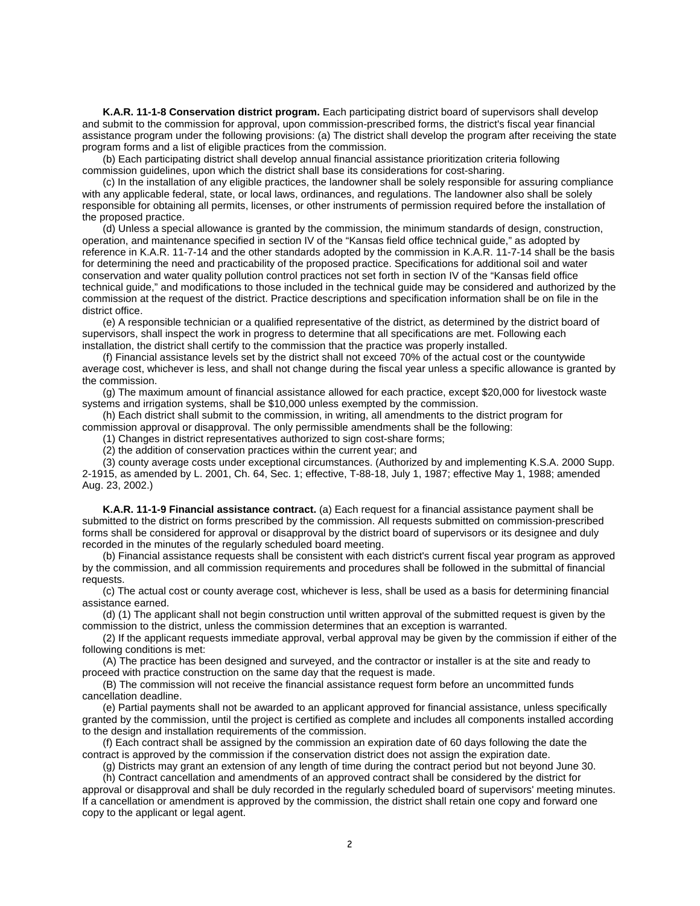<span id="page-5-0"></span>**K.A.R. 11-1-8 Conservation district program.** Each participating district board of supervisors shall develop and submit to the commission for approval, upon commission-prescribed forms, the district's fiscal year financial assistance program under the following provisions: (a) The district shall develop the program after receiving the state program forms and a list of eligible practices from the commission.

(b) Each participating district shall develop annual financial assistance prioritization criteria following commission guidelines, upon which the district shall base its considerations for cost-sharing.

(c) In the installation of any eligible practices, the landowner shall be solely responsible for assuring compliance with any applicable federal, state, or local laws, ordinances, and regulations. The landowner also shall be solely responsible for obtaining all permits, licenses, or other instruments of permission required before the installation of the proposed practice.

(d) Unless a special allowance is granted by the commission, the minimum standards of design, construction, operation, and maintenance specified in section IV of the "Kansas field office technical guide," as adopted by reference in K.A.R. 11-7-14 and the other standards adopted by the commission in K.A.R. 11-7-14 shall be the basis for determining the need and practicability of the proposed practice. Specifications for additional soil and water conservation and water quality pollution control practices not set forth in section IV of the "Kansas field office technical guide," and modifications to those included in the technical guide may be considered and authorized by the commission at the request of the district. Practice descriptions and specification information shall be on file in the district office.

(e) A responsible technician or a qualified representative of the district, as determined by the district board of supervisors, shall inspect the work in progress to determine that all specifications are met. Following each installation, the district shall certify to the commission that the practice was properly installed.

(f) Financial assistance levels set by the district shall not exceed 70% of the actual cost or the countywide average cost, whichever is less, and shall not change during the fiscal year unless a specific allowance is granted by the commission.

(g) The maximum amount of financial assistance allowed for each practice, except \$20,000 for livestock waste systems and irrigation systems, shall be \$10,000 unless exempted by the commission.

(h) Each district shall submit to the commission, in writing, all amendments to the district program for commission approval or disapproval. The only permissible amendments shall be the following:

(1) Changes in district representatives authorized to sign cost-share forms;

(2) the addition of conservation practices within the current year; and

(3) county average costs under exceptional circumstances. (Authorized by and implementing K.S.A. 2000 Supp. 2-1915, as amended by L. 2001, Ch. 64, Sec. 1; effective, T-88-18, July 1, 1987; effective May 1, 1988; amended Aug. 23, 2002.)

<span id="page-5-1"></span>**K.A.R. 11-1-9 Financial assistance contract.** (a) Each request for a financial assistance payment shall be submitted to the district on forms prescribed by the commission. All requests submitted on commission-prescribed forms shall be considered for approval or disapproval by the district board of supervisors or its designee and duly recorded in the minutes of the regularly scheduled board meeting.

(b) Financial assistance requests shall be consistent with each district's current fiscal year program as approved by the commission, and all commission requirements and procedures shall be followed in the submittal of financial requests.

(c) The actual cost or county average cost, whichever is less, shall be used as a basis for determining financial assistance earned.

(d) (1) The applicant shall not begin construction until written approval of the submitted request is given by the commission to the district, unless the commission determines that an exception is warranted.

(2) If the applicant requests immediate approval, verbal approval may be given by the commission if either of the following conditions is met:

(A) The practice has been designed and surveyed, and the contractor or installer is at the site and ready to proceed with practice construction on the same day that the request is made.

(B) The commission will not receive the financial assistance request form before an uncommitted funds cancellation deadline.

(e) Partial payments shall not be awarded to an applicant approved for financial assistance, unless specifically granted by the commission, until the project is certified as complete and includes all components installed according to the design and installation requirements of the commission.

(f) Each contract shall be assigned by the commission an expiration date of 60 days following the date the contract is approved by the commission if the conservation district does not assign the expiration date.

(g) Districts may grant an extension of any length of time during the contract period but not beyond June 30. (h) Contract cancellation and amendments of an approved contract shall be considered by the district for

approval or disapproval and shall be duly recorded in the regularly scheduled board of supervisors' meeting minutes. If a cancellation or amendment is approved by the commission, the district shall retain one copy and forward one copy to the applicant or legal agent.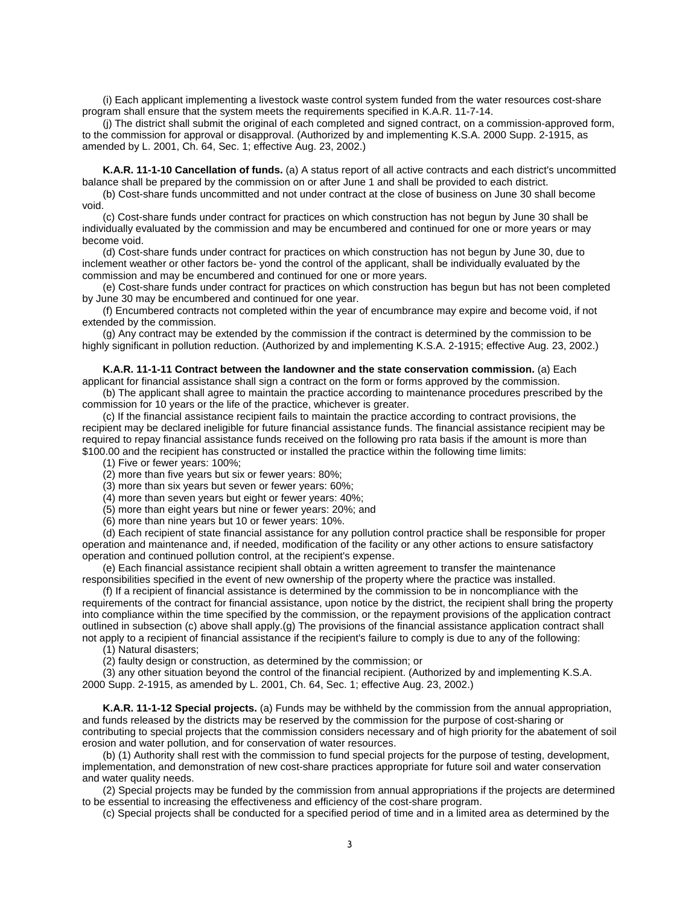(i) Each applicant implementing a livestock waste control system funded from the water resources cost-share program shall ensure that the system meets the requirements specified in K.A.R. 11-7-14.

(j) The district shall submit the original of each completed and signed contract, on a commission-approved form, to the commission for approval or disapproval. (Authorized by and implementing K.S.A. 2000 Supp. 2-1915, as amended by L. 2001, Ch. 64, Sec. 1; effective Aug. 23, 2002.)

<span id="page-6-0"></span>**K.A.R. 11-1-10 Cancellation of funds.** (a) A status report of all active contracts and each district's uncommitted balance shall be prepared by the commission on or after June 1 and shall be provided to each district.

(b) Cost-share funds uncommitted and not under contract at the close of business on June 30 shall become void.

(c) Cost-share funds under contract for practices on which construction has not begun by June 30 shall be individually evaluated by the commission and may be encumbered and continued for one or more years or may become void.

(d) Cost-share funds under contract for practices on which construction has not begun by June 30, due to inclement weather or other factors be- yond the control of the applicant, shall be individually evaluated by the commission and may be encumbered and continued for one or more years.

(e) Cost-share funds under contract for practices on which construction has begun but has not been completed by June 30 may be encumbered and continued for one year.

(f) Encumbered contracts not completed within the year of encumbrance may expire and become void, if not extended by the commission.

(g) Any contract may be extended by the commission if the contract is determined by the commission to be highly significant in pollution reduction. (Authorized by and implementing K.S.A. 2-1915; effective Aug. 23, 2002.)

<span id="page-6-1"></span>**K.A.R. 11-1-11 Contract between the landowner and the state conservation commission.** (a) Each

applicant for financial assistance shall sign a contract on the form or forms approved by the commission. (b) The applicant shall agree to maintain the practice according to maintenance procedures prescribed by the commission for 10 years or the life of the practice, whichever is greater.

(c) If the financial assistance recipient fails to maintain the practice according to contract provisions, the recipient may be declared ineligible for future financial assistance funds. The financial assistance recipient may be required to repay financial assistance funds received on the following pro rata basis if the amount is more than \$100.00 and the recipient has constructed or installed the practice within the following time limits:

(1) Five or fewer years: 100%;

(2) more than five years but six or fewer years: 80%;

(3) more than six years but seven or fewer years: 60%;

(4) more than seven years but eight or fewer years: 40%;

(5) more than eight years but nine or fewer years: 20%; and

(6) more than nine years but 10 or fewer years: 10%.

(d) Each recipient of state financial assistance for any pollution control practice shall be responsible for proper operation and maintenance and, if needed, modification of the facility or any other actions to ensure satisfactory operation and continued pollution control, at the recipient's expense.

(e) Each financial assistance recipient shall obtain a written agreement to transfer the maintenance responsibilities specified in the event of new ownership of the property where the practice was installed.

(f) If a recipient of financial assistance is determined by the commission to be in noncompliance with the requirements of the contract for financial assistance, upon notice by the district, the recipient shall bring the property into compliance within the time specified by the commission, or the repayment provisions of the application contract outlined in subsection (c) above shall apply.(g) The provisions of the financial assistance application contract shall not apply to a recipient of financial assistance if the recipient's failure to comply is due to any of the following:

(1) Natural disasters;

(2) faulty design or construction, as determined by the commission; or

(3) any other situation beyond the control of the financial recipient. (Authorized by and implementing K.S.A.

2000 Supp. 2-1915, as amended by L. 2001, Ch. 64, Sec. 1; effective Aug. 23, 2002.)

<span id="page-6-2"></span>**K.A.R. 11-1-12 Special projects.** (a) Funds may be withheld by the commission from the annual appropriation, and funds released by the districts may be reserved by the commission for the purpose of cost-sharing or contributing to special projects that the commission considers necessary and of high priority for the abatement of soil erosion and water pollution, and for conservation of water resources.

(b) (1) Authority shall rest with the commission to fund special projects for the purpose of testing, development, implementation, and demonstration of new cost-share practices appropriate for future soil and water conservation and water quality needs.

(2) Special projects may be funded by the commission from annual appropriations if the projects are determined to be essential to increasing the effectiveness and efficiency of the cost-share program.

(c) Special projects shall be conducted for a specified period of time and in a limited area as determined by the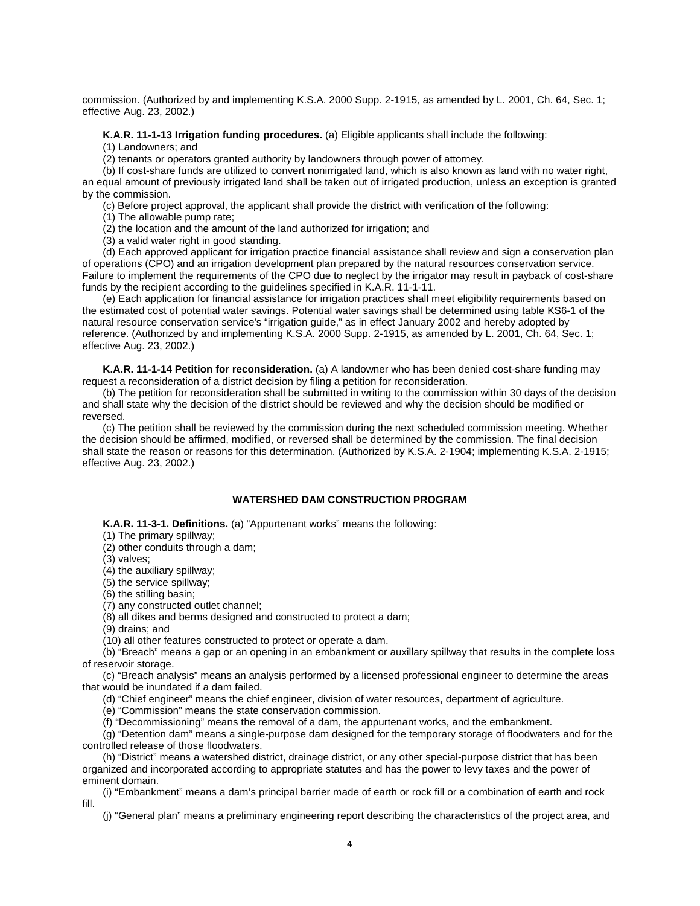commission. (Authorized by and implementing K.S.A. 2000 Supp. 2-1915, as amended by L. 2001, Ch. 64, Sec. 1; effective Aug. 23, 2002.)

<span id="page-7-0"></span>**K.A.R. 11-1-13 Irrigation funding procedures.** (a) Eligible applicants shall include the following:

(1) Landowners; and

(2) tenants or operators granted authority by landowners through power of attorney.

(b) If cost-share funds are utilized to convert nonirrigated land, which is also known as land with no water right, an equal amount of previously irrigated land shall be taken out of irrigated production, unless an exception is granted by the commission.

(c) Before project approval, the applicant shall provide the district with verification of the following:

(1) The allowable pump rate;

(2) the location and the amount of the land authorized for irrigation; and

(3) a valid water right in good standing.

(d) Each approved applicant for irrigation practice financial assistance shall review and sign a conservation plan of operations (CPO) and an irrigation development plan prepared by the natural resources conservation service. Failure to implement the requirements of the CPO due to neglect by the irrigator may result in payback of cost-share funds by the recipient according to the guidelines specified in K.A.R. 11-1-11.

(e) Each application for financial assistance for irrigation practices shall meet eligibility requirements based on the estimated cost of potential water savings. Potential water savings shall be determined using table KS6-1 of the natural resource conservation service's "irrigation guide," as in effect January 2002 and hereby adopted by reference. (Authorized by and implementing K.S.A. 2000 Supp. 2-1915, as amended by L. 2001, Ch. 64, Sec. 1; effective Aug. 23, 2002.)

<span id="page-7-1"></span>**K.A.R. 11-1-14 Petition for reconsideration.** (a) A landowner who has been denied cost-share funding may request a reconsideration of a district decision by filing a petition for reconsideration.

(b) The petition for reconsideration shall be submitted in writing to the commission within 30 days of the decision and shall state why the decision of the district should be reviewed and why the decision should be modified or reversed.

(c) The petition shall be reviewed by the commission during the next scheduled commission meeting. Whether the decision should be affirmed, modified, or reversed shall be determined by the commission. The final decision shall state the reason or reasons for this determination. (Authorized by K.S.A. 2-1904; implementing K.S.A. 2-1915; effective Aug. 23, 2002.)

#### **WATERSHED DAM CONSTRUCTION PROGRAM**

<span id="page-7-3"></span><span id="page-7-2"></span>**K.A.R. 11-3-1. Definitions.** (a) "Appurtenant works" means the following:

(1) The primary spillway;

(2) other conduits through a dam;

(3) valves;

(4) the auxiliary spillway;

(5) the service spillway;

(6) the stilling basin;

(7) any constructed outlet channel;

(8) all dikes and berms designed and constructed to protect a dam;

(9) drains; and

(10) all other features constructed to protect or operate a dam.

(b) "Breach" means a gap or an opening in an embankment or auxillary spillway that results in the complete loss of reservoir storage.

(c) "Breach analysis" means an analysis performed by a licensed professional engineer to determine the areas that would be inundated if a dam failed.

(d) "Chief engineer" means the chief engineer, division of water resources, department of agriculture.

(e) "Commission" means the state conservation commission.

(f) "Decommissioning" means the removal of a dam, the appurtenant works, and the embankment.

(g) "Detention dam" means a single-purpose dam designed for the temporary storage of floodwaters and for the controlled release of those floodwaters.

(h) "District" means a watershed district, drainage district, or any other special-purpose district that has been organized and incorporated according to appropriate statutes and has the power to levy taxes and the power of eminent domain.

(i) "Embankment" means a dam's principal barrier made of earth or rock fill or a combination of earth and rock fill.

(j) "General plan" means a preliminary engineering report describing the characteristics of the project area, and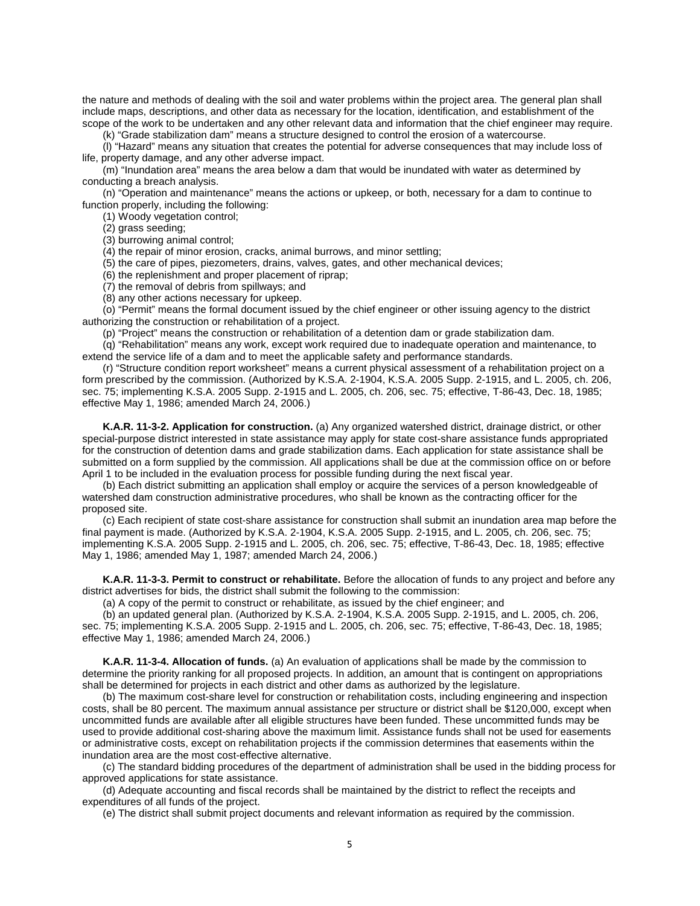the nature and methods of dealing with the soil and water problems within the project area. The general plan shall include maps, descriptions, and other data as necessary for the location, identification, and establishment of the scope of the work to be undertaken and any other relevant data and information that the chief engineer may require.

(k) "Grade stabilization dam" means a structure designed to control the erosion of a watercourse.

(l) "Hazard" means any situation that creates the potential for adverse consequences that may include loss of life, property damage, and any other adverse impact.

(m) "Inundation area" means the area below a dam that would be inundated with water as determined by conducting a breach analysis.

(n) "Operation and maintenance" means the actions or upkeep, or both, necessary for a dam to continue to function properly, including the following:

(1) Woody vegetation control;

(2) grass seeding;

(3) burrowing animal control;

 $(4)$  the repair of minor erosion, cracks, animal burrows, and minor settling;

(5) the care of pipes, piezometers, drains, valves, gates, and other mechanical devices;

(6) the replenishment and proper placement of riprap;

(7) the removal of debris from spillways; and

(8) any other actions necessary for upkeep.

(o) "Permit" means the formal document issued by the chief engineer or other issuing agency to the district authorizing the construction or rehabilitation of a project.

(p) "Project" means the construction or rehabilitation of a detention dam or grade stabilization dam.

(q) "Rehabilitation" means any work, except work required due to inadequate operation and maintenance, to extend the service life of a dam and to meet the applicable safety and performance standards.

(r) "Structure condition report worksheet" means a current physical assessment of a rehabilitation project on a form prescribed by the commission. (Authorized by K.S.A. 2-1904, K.S.A. 2005 Supp. 2-1915, and L. 2005, ch. 206, sec. 75; implementing K.S.A. 2005 Supp. 2-1915 and L. 2005, ch. 206, sec. 75; effective, T-86-43, Dec. 18, 1985; effective May 1, 1986; amended March 24, 2006.)

<span id="page-8-0"></span>**K.A.R. 11-3-2. Application for construction.** (a) Any organized watershed district, drainage district, or other special-purpose district interested in state assistance may apply for state cost-share assistance funds appropriated for the construction of detention dams and grade stabilization dams. Each application for state assistance shall be submitted on a form supplied by the commission. All applications shall be due at the commission office on or before April 1 to be included in the evaluation process for possible funding during the next fiscal year.

(b) Each district submitting an application shall employ or acquire the services of a person knowledgeable of watershed dam construction administrative procedures, who shall be known as the contracting officer for the proposed site.

(c) Each recipient of state cost-share assistance for construction shall submit an inundation area map before the final payment is made. (Authorized by K.S.A. 2-1904, K.S.A. 2005 Supp. 2-1915, and L. 2005, ch. 206, sec. 75; implementing K.S.A. 2005 Supp. 2-1915 and L. 2005, ch. 206, sec. 75; effective, T-86-43, Dec. 18, 1985; effective May 1, 1986; amended May 1, 1987; amended March 24, 2006.)

<span id="page-8-1"></span>**K.A.R. 11-3-3. Permit to construct or rehabilitate.** Before the allocation of funds to any project and before any district advertises for bids, the district shall submit the following to the commission:

(a) A copy of the permit to construct or rehabilitate, as issued by the chief engineer; and

(b) an updated general plan. (Authorized by K.S.A. 2-1904, K.S.A. 2005 Supp. 2-1915, and L. 2005, ch. 206, sec. 75; implementing K.S.A. 2005 Supp. 2-1915 and L. 2005, ch. 206, sec. 75; effective, T-86-43, Dec. 18, 1985; effective May 1, 1986; amended March 24, 2006.)

<span id="page-8-2"></span>**K.A.R. 11-3-4. Allocation of funds.** (a) An evaluation of applications shall be made by the commission to determine the priority ranking for all proposed projects. In addition, an amount that is contingent on appropriations shall be determined for projects in each district and other dams as authorized by the legislature.

(b) The maximum cost-share level for construction or rehabilitation costs, including engineering and inspection costs, shall be 80 percent. The maximum annual assistance per structure or district shall be \$120,000, except when uncommitted funds are available after all eligible structures have been funded. These uncommitted funds may be used to provide additional cost-sharing above the maximum limit. Assistance funds shall not be used for easements or administrative costs, except on rehabilitation projects if the commission determines that easements within the inundation area are the most cost-effective alternative.

(c) The standard bidding procedures of the department of administration shall be used in the bidding process for approved applications for state assistance.

(d) Adequate accounting and fiscal records shall be maintained by the district to reflect the receipts and expenditures of all funds of the project.

(e) The district shall submit project documents and relevant information as required by the commission.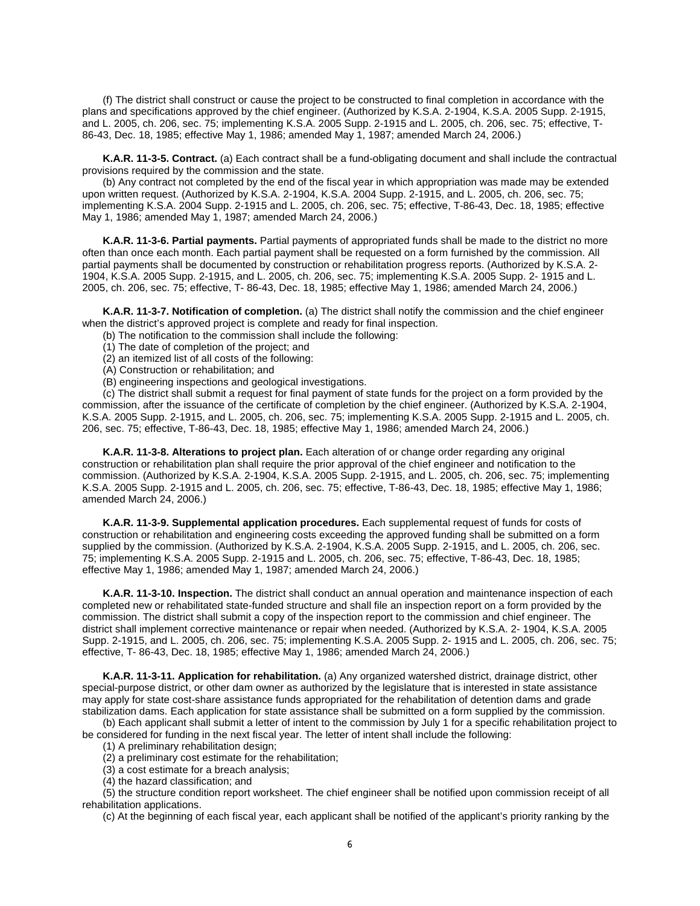(f) The district shall construct or cause the project to be constructed to final completion in accordance with the plans and specifications approved by the chief engineer. (Authorized by K.S.A. 2-1904, K.S.A. 2005 Supp. 2-1915, and L. 2005, ch. 206, sec. 75; implementing K.S.A. 2005 Supp. 2-1915 and L. 2005, ch. 206, sec. 75; effective, T-86-43, Dec. 18, 1985; effective May 1, 1986; amended May 1, 1987; amended March 24, 2006.)

<span id="page-9-0"></span>**K.A.R. 11-3-5. Contract.** (a) Each contract shall be a fund-obligating document and shall include the contractual provisions required by the commission and the state.

(b) Any contract not completed by the end of the fiscal year in which appropriation was made may be extended upon written request. (Authorized by K.S.A. 2-1904, K.S.A. 2004 Supp. 2-1915, and L. 2005, ch. 206, sec. 75; implementing K.S.A. 2004 Supp. 2-1915 and L. 2005, ch. 206, sec. 75; effective, T-86-43, Dec. 18, 1985; effective May 1, 1986; amended May 1, 1987; amended March 24, 2006.)

<span id="page-9-1"></span>**K.A.R. 11-3-6. Partial payments.** Partial payments of appropriated funds shall be made to the district no more often than once each month. Each partial payment shall be requested on a form furnished by the commission. All partial payments shall be documented by construction or rehabilitation progress reports. (Authorized by K.S.A. 2- 1904, K.S.A. 2005 Supp. 2-1915, and L. 2005, ch. 206, sec. 75; implementing K.S.A. 2005 Supp. 2- 1915 and L. 2005, ch. 206, sec. 75; effective, T- 86-43, Dec. 18, 1985; effective May 1, 1986; amended March 24, 2006.)

<span id="page-9-2"></span>**K.A.R. 11-3-7. Notification of completion.** (a) The district shall notify the commission and the chief engineer when the district's approved project is complete and ready for final inspection.

- (b) The notification to the commission shall include the following:
- (1) The date of completion of the project; and
- (2) an itemized list of all costs of the following:
- (A) Construction or rehabilitation; and
- (B) engineering inspections and geological investigations.

(c) The district shall submit a request for final payment of state funds for the project on a form provided by the commission, after the issuance of the certificate of completion by the chief engineer. (Authorized by K.S.A. 2-1904, K.S.A. 2005 Supp. 2-1915, and L. 2005, ch. 206, sec. 75; implementing K.S.A. 2005 Supp. 2-1915 and L. 2005, ch. 206, sec. 75; effective, T-86-43, Dec. 18, 1985; effective May 1, 1986; amended March 24, 2006.)

<span id="page-9-3"></span>**K.A.R. 11-3-8. Alterations to project plan.** Each alteration of or change order regarding any original construction or rehabilitation plan shall require the prior approval of the chief engineer and notification to the commission. (Authorized by K.S.A. 2-1904, K.S.A. 2005 Supp. 2-1915, and L. 2005, ch. 206, sec. 75; implementing K.S.A. 2005 Supp. 2-1915 and L. 2005, ch. 206, sec. 75; effective, T-86-43, Dec. 18, 1985; effective May 1, 1986; amended March 24, 2006.)

<span id="page-9-4"></span>**K.A.R. 11-3-9. Supplemental application procedures.** Each supplemental request of funds for costs of construction or rehabilitation and engineering costs exceeding the approved funding shall be submitted on a form supplied by the commission. (Authorized by K.S.A. 2-1904, K.S.A. 2005 Supp. 2-1915, and L. 2005, ch. 206, sec. 75; implementing K.S.A. 2005 Supp. 2-1915 and L. 2005, ch. 206, sec. 75; effective, T-86-43, Dec. 18, 1985; effective May 1, 1986; amended May 1, 1987; amended March 24, 2006.)

<span id="page-9-5"></span>**K.A.R. 11-3-10. Inspection.** The district shall conduct an annual operation and maintenance inspection of each completed new or rehabilitated state-funded structure and shall file an inspection report on a form provided by the commission. The district shall submit a copy of the inspection report to the commission and chief engineer. The district shall implement corrective maintenance or repair when needed. (Authorized by K.S.A. 2- 1904, K.S.A. 2005 Supp. 2-1915, and L. 2005, ch. 206, sec. 75; implementing K.S.A. 2005 Supp. 2- 1915 and L. 2005, ch. 206, sec. 75; effective, T- 86-43, Dec. 18, 1985; effective May 1, 1986; amended March 24, 2006.)

<span id="page-9-6"></span>**K.A.R. 11-3-11. Application for rehabilitation.** (a) Any organized watershed district, drainage district, other special-purpose district, or other dam owner as authorized by the legislature that is interested in state assistance may apply for state cost-share assistance funds appropriated for the rehabilitation of detention dams and grade stabilization dams. Each application for state assistance shall be submitted on a form supplied by the commission.

(b) Each applicant shall submit a letter of intent to the commission by July 1 for a specific rehabilitation project to be considered for funding in the next fiscal year. The letter of intent shall include the following:

(1) A preliminary rehabilitation design;

(2) a preliminary cost estimate for the rehabilitation;

- (3) a cost estimate for a breach analysis;
- (4) the hazard classification; and

(5) the structure condition report worksheet. The chief engineer shall be notified upon commission receipt of all rehabilitation applications.

(c) At the beginning of each fiscal year, each applicant shall be notified of the applicant's priority ranking by the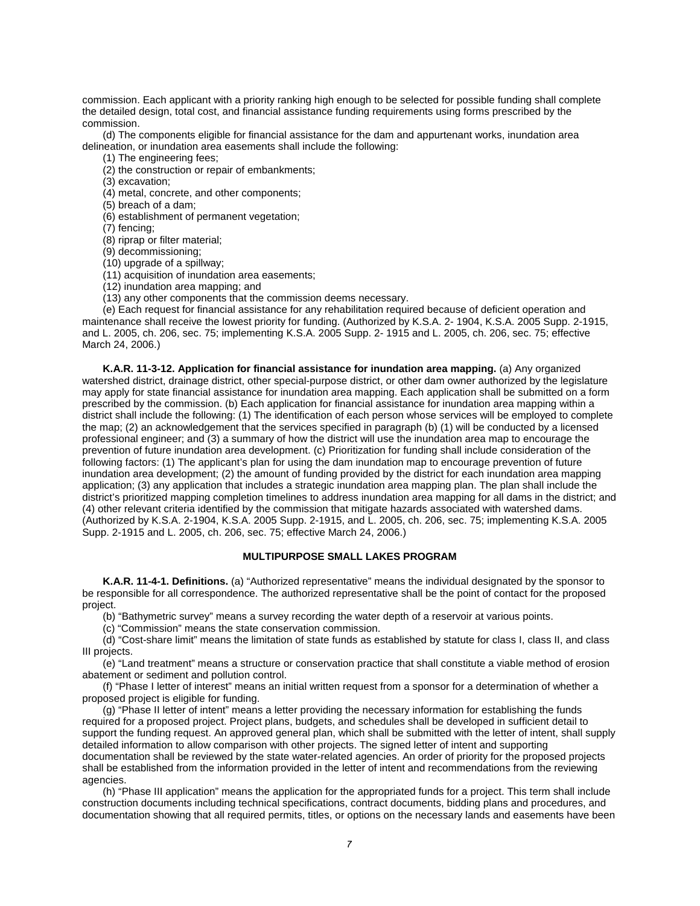commission. Each applicant with a priority ranking high enough to be selected for possible funding shall complete the detailed design, total cost, and financial assistance funding requirements using forms prescribed by the commission.

(d) The components eligible for financial assistance for the dam and appurtenant works, inundation area delineation, or inundation area easements shall include the following:

(1) The engineering fees;

(2) the construction or repair of embankments;

(3) excavation;

(4) metal, concrete, and other components;

(5) breach of a dam;

(6) establishment of permanent vegetation;

(7) fencing;

(8) riprap or filter material;

(9) decommissioning;

(10) upgrade of a spillway;

(11) acquisition of inundation area easements;

(12) inundation area mapping; and

(13) any other components that the commission deems necessary.

(e) Each request for financial assistance for any rehabilitation required because of deficient operation and maintenance shall receive the lowest priority for funding. (Authorized by K.S.A. 2- 1904, K.S.A. 2005 Supp. 2-1915, and L. 2005, ch. 206, sec. 75; implementing K.S.A. 2005 Supp. 2- 1915 and L. 2005, ch. 206, sec. 75; effective March 24, 2006.)

<span id="page-10-0"></span>**K.A.R. 11-3-12. Application for financial assistance for inundation area mapping.** (a) Any organized watershed district, drainage district, other special-purpose district, or other dam owner authorized by the legislature may apply for state financial assistance for inundation area mapping. Each application shall be submitted on a form prescribed by the commission. (b) Each application for financial assistance for inundation area mapping within a district shall include the following: (1) The identification of each person whose services will be employed to complete the map; (2) an acknowledgement that the services specified in paragraph (b) (1) will be conducted by a licensed professional engineer; and (3) a summary of how the district will use the inundation area map to encourage the prevention of future inundation area development. (c) Prioritization for funding shall include consideration of the following factors: (1) The applicant's plan for using the dam inundation map to encourage prevention of future inundation area development; (2) the amount of funding provided by the district for each inundation area mapping application; (3) any application that includes a strategic inundation area mapping plan. The plan shall include the district's prioritized mapping completion timelines to address inundation area mapping for all dams in the district; and (4) other relevant criteria identified by the commission that mitigate hazards associated with watershed dams. (Authorized by K.S.A. 2-1904, K.S.A. 2005 Supp. 2-1915, and L. 2005, ch. 206, sec. 75; implementing K.S.A. 2005 Supp. 2-1915 and L. 2005, ch. 206, sec. 75; effective March 24, 2006.)

#### **MULTIPURPOSE SMALL LAKES PROGRAM**

<span id="page-10-2"></span><span id="page-10-1"></span>**K.A.R. 11-4-1. Definitions.** (a) "Authorized representative" means the individual designated by the sponsor to be responsible for all correspondence. The authorized representative shall be the point of contact for the proposed project.

(b) "Bathymetric survey" means a survey recording the water depth of a reservoir at various points.

(c) "Commission" means the state conservation commission.

(d) "Cost-share limit" means the limitation of state funds as established by statute for class I, class II, and class III projects.

(e) "Land treatment" means a structure or conservation practice that shall constitute a viable method of erosion abatement or sediment and pollution control.

(f) "Phase I letter of interest" means an initial written request from a sponsor for a determination of whether a proposed project is eligible for funding.

(g) "Phase II letter of intent" means a letter providing the necessary information for establishing the funds required for a proposed project. Project plans, budgets, and schedules shall be developed in sufficient detail to support the funding request. An approved general plan, which shall be submitted with the letter of intent, shall supply detailed information to allow comparison with other projects. The signed letter of intent and supporting documentation shall be reviewed by the state water-related agencies. An order of priority for the proposed projects shall be established from the information provided in the letter of intent and recommendations from the reviewing agencies.

(h) "Phase III application" means the application for the appropriated funds for a project. This term shall include construction documents including technical specifications, contract documents, bidding plans and procedures, and documentation showing that all required permits, titles, or options on the necessary lands and easements have been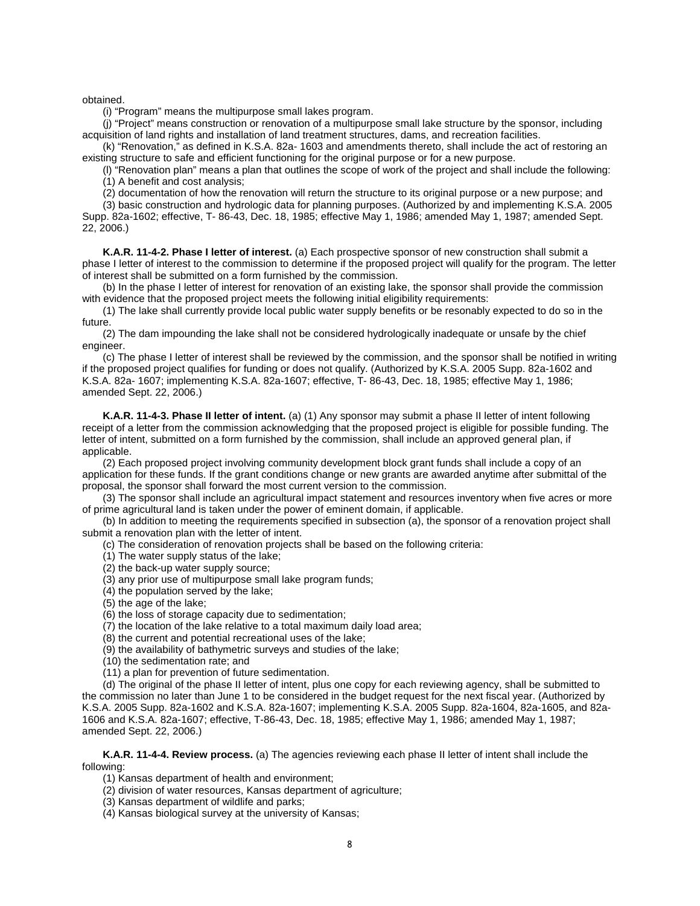obtained.

(i) "Program" means the multipurpose small lakes program.

(j) "Project" means construction or renovation of a multipurpose small lake structure by the sponsor, including acquisition of land rights and installation of land treatment structures, dams, and recreation facilities.

(k) "Renovation," as defined in K.S.A. 82a- 1603 and amendments thereto, shall include the act of restoring an existing structure to safe and efficient functioning for the original purpose or for a new purpose.

(l) "Renovation plan" means a plan that outlines the scope of work of the project and shall include the following: (1) A benefit and cost analysis;

(2) documentation of how the renovation will return the structure to its original purpose or a new purpose; and

(3) basic construction and hydrologic data for planning purposes. (Authorized by and implementing K.S.A. 2005 Supp. 82a-1602; effective, T- 86-43, Dec. 18, 1985; effective May 1, 1986; amended May 1, 1987; amended Sept. 22, 2006.)

<span id="page-11-0"></span>**K.A.R. 11-4-2. Phase I letter of interest.** (a) Each prospective sponsor of new construction shall submit a phase I letter of interest to the commission to determine if the proposed project will qualify for the program. The letter of interest shall be submitted on a form furnished by the commission.

(b) In the phase I letter of interest for renovation of an existing lake, the sponsor shall provide the commission with evidence that the proposed project meets the following initial eligibility requirements:

(1) The lake shall currently provide local public water supply benefits or be resonably expected to do so in the future.

(2) The dam impounding the lake shall not be considered hydrologically inadequate or unsafe by the chief engineer.

(c) The phase I letter of interest shall be reviewed by the commission, and the sponsor shall be notified in writing if the proposed project qualifies for funding or does not qualify. (Authorized by K.S.A. 2005 Supp. 82a-1602 and K.S.A. 82a- 1607; implementing K.S.A. 82a-1607; effective, T- 86-43, Dec. 18, 1985; effective May 1, 1986; amended Sept. 22, 2006.)

<span id="page-11-1"></span>**K.A.R. 11-4-3. Phase II letter of intent.** (a) (1) Any sponsor may submit a phase II letter of intent following receipt of a letter from the commission acknowledging that the proposed project is eligible for possible funding. The letter of intent, submitted on a form furnished by the commission, shall include an approved general plan, if applicable.

(2) Each proposed project involving community development block grant funds shall include a copy of an application for these funds. If the grant conditions change or new grants are awarded anytime after submittal of the proposal, the sponsor shall forward the most current version to the commission.

(3) The sponsor shall include an agricultural impact statement and resources inventory when five acres or more of prime agricultural land is taken under the power of eminent domain, if applicable.

(b) In addition to meeting the requirements specified in subsection (a), the sponsor of a renovation project shall submit a renovation plan with the letter of intent.

(c) The consideration of renovation projects shall be based on the following criteria:

(1) The water supply status of the lake;

(2) the back-up water supply source;

(3) any prior use of multipurpose small lake program funds;

(4) the population served by the lake;

(5) the age of the lake;

(6) the loss of storage capacity due to sedimentation;

(7) the location of the lake relative to a total maximum daily load area;

(8) the current and potential recreational uses of the lake;

(9) the availability of bathymetric surveys and studies of the lake;

(10) the sedimentation rate; and

(11) a plan for prevention of future sedimentation.

(d) The original of the phase II letter of intent, plus one copy for each reviewing agency, shall be submitted to the commission no later than June 1 to be considered in the budget request for the next fiscal year. (Authorized by K.S.A. 2005 Supp. 82a-1602 and K.S.A. 82a-1607; implementing K.S.A. 2005 Supp. 82a-1604, 82a-1605, and 82a-1606 and K.S.A. 82a-1607; effective, T-86-43, Dec. 18, 1985; effective May 1, 1986; amended May 1, 1987; amended Sept. 22, 2006.)

<span id="page-11-2"></span>**K.A.R. 11-4-4. Review process.** (a) The agencies reviewing each phase II letter of intent shall include the following:

(1) Kansas department of health and environment;

(2) division of water resources, Kansas department of agriculture;

(3) Kansas department of wildlife and parks;

(4) Kansas biological survey at the university of Kansas;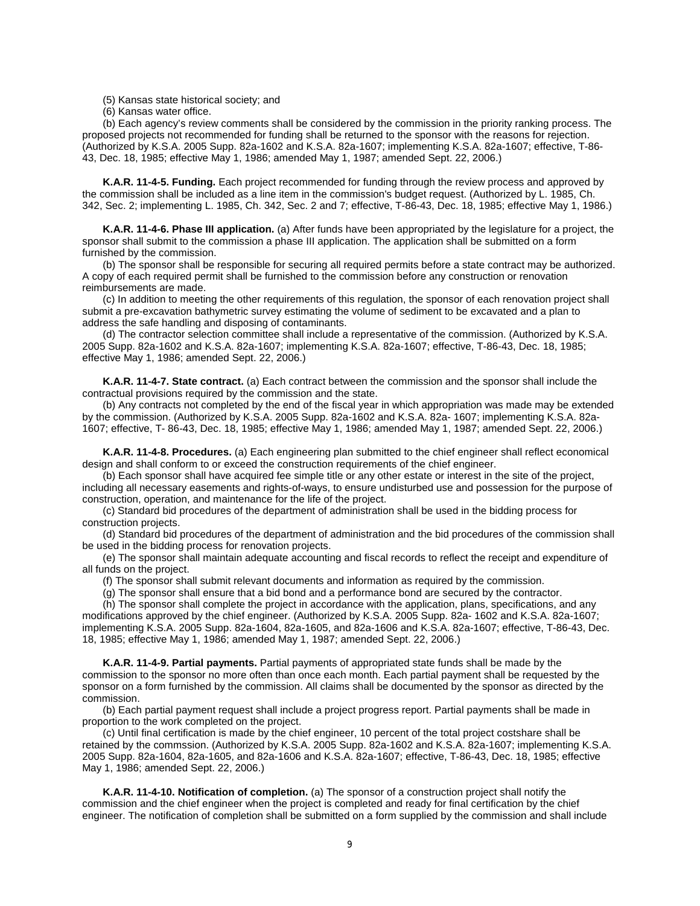(5) Kansas state historical society; and

(6) Kansas water office.

(b) Each agency's review comments shall be considered by the commission in the priority ranking process. The proposed projects not recommended for funding shall be returned to the sponsor with the reasons for rejection. (Authorized by K.S.A. 2005 Supp. 82a-1602 and K.S.A. 82a-1607; implementing K.S.A. 82a-1607; effective, T-86- 43, Dec. 18, 1985; effective May 1, 1986; amended May 1, 1987; amended Sept. 22, 2006.)

<span id="page-12-0"></span>**K.A.R. 11-4-5. Funding.** Each project recommended for funding through the review process and approved by the commission shall be included as a line item in the commission's budget request. (Authorized by L. 1985, Ch. 342, Sec. 2; implementing L. 1985, Ch. 342, Sec. 2 and 7; effective, T-86-43, Dec. 18, 1985; effective May 1, 1986.)

<span id="page-12-1"></span>**K.A.R. 11-4-6. Phase III application.** (a) After funds have been appropriated by the legislature for a project, the sponsor shall submit to the commission a phase III application. The application shall be submitted on a form furnished by the commission.

(b) The sponsor shall be responsible for securing all required permits before a state contract may be authorized. A copy of each required permit shall be furnished to the commission before any construction or renovation reimbursements are made.

(c) In addition to meeting the other requirements of this regulation, the sponsor of each renovation project shall submit a pre-excavation bathymetric survey estimating the volume of sediment to be excavated and a plan to address the safe handling and disposing of contaminants.

(d) The contractor selection committee shall include a representative of the commission. (Authorized by K.S.A. 2005 Supp. 82a-1602 and K.S.A. 82a-1607; implementing K.S.A. 82a-1607; effective, T-86-43, Dec. 18, 1985; effective May 1, 1986; amended Sept. 22, 2006.)

<span id="page-12-2"></span>**K.A.R. 11-4-7. State contract.** (a) Each contract between the commission and the sponsor shall include the contractual provisions required by the commission and the state.

(b) Any contracts not completed by the end of the fiscal year in which appropriation was made may be extended by the commission. (Authorized by K.S.A. 2005 Supp. 82a-1602 and K.S.A. 82a- 1607; implementing K.S.A. 82a-1607; effective, T- 86-43, Dec. 18, 1985; effective May 1, 1986; amended May 1, 1987; amended Sept. 22, 2006.)

<span id="page-12-3"></span>**K.A.R. 11-4-8. Procedures.** (a) Each engineering plan submitted to the chief engineer shall reflect economical design and shall conform to or exceed the construction requirements of the chief engineer.

(b) Each sponsor shall have acquired fee simple title or any other estate or interest in the site of the project, including all necessary easements and rights-of-ways, to ensure undisturbed use and possession for the purpose of construction, operation, and maintenance for the life of the project.

(c) Standard bid procedures of the department of administration shall be used in the bidding process for construction projects.

(d) Standard bid procedures of the department of administration and the bid procedures of the commission shall be used in the bidding process for renovation projects.

(e) The sponsor shall maintain adequate accounting and fiscal records to reflect the receipt and expenditure of all funds on the project.

(f) The sponsor shall submit relevant documents and information as required by the commission.

(g) The sponsor shall ensure that a bid bond and a performance bond are secured by the contractor.

(h) The sponsor shall complete the project in accordance with the application, plans, specifications, and any modifications approved by the chief engineer. (Authorized by K.S.A. 2005 Supp. 82a- 1602 and K.S.A. 82a-1607; implementing K.S.A. 2005 Supp. 82a-1604, 82a-1605, and 82a-1606 and K.S.A. 82a-1607; effective, T-86-43, Dec. 18, 1985; effective May 1, 1986; amended May 1, 1987; amended Sept. 22, 2006.)

<span id="page-12-4"></span>**K.A.R. 11-4-9. Partial payments.** Partial payments of appropriated state funds shall be made by the commission to the sponsor no more often than once each month. Each partial payment shall be requested by the sponsor on a form furnished by the commission. All claims shall be documented by the sponsor as directed by the commission.

(b) Each partial payment request shall include a project progress report. Partial payments shall be made in proportion to the work completed on the project.

(c) Until final certification is made by the chief engineer, 10 percent of the total project costshare shall be retained by the commssion. (Authorized by K.S.A. 2005 Supp. 82a-1602 and K.S.A. 82a-1607; implementing K.S.A. 2005 Supp. 82a-1604, 82a-1605, and 82a-1606 and K.S.A. 82a-1607; effective, T-86-43, Dec. 18, 1985; effective May 1, 1986; amended Sept. 22, 2006.)

<span id="page-12-5"></span>**K.A.R. 11-4-10. Notification of completion.** (a) The sponsor of a construction project shall notify the commission and the chief engineer when the project is completed and ready for final certification by the chief engineer. The notification of completion shall be submitted on a form supplied by the commission and shall include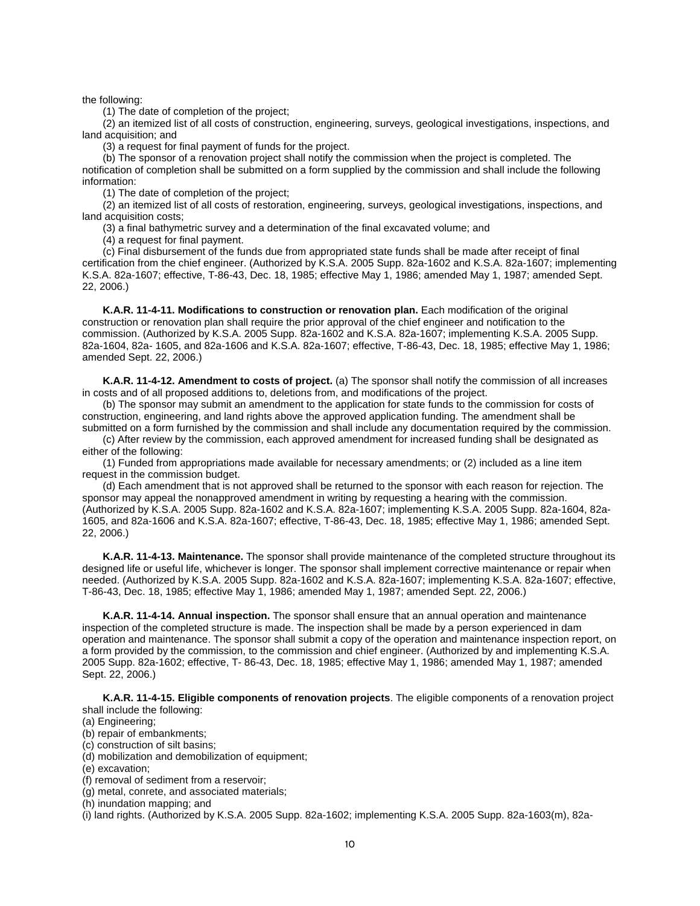the following:

(1) The date of completion of the project;

(2) an itemized list of all costs of construction, engineering, surveys, geological investigations, inspections, and land acquisition; and

(3) a request for final payment of funds for the project.

(b) The sponsor of a renovation project shall notify the commission when the project is completed. The notification of completion shall be submitted on a form supplied by the commission and shall include the following information:

(1) The date of completion of the project;

(2) an itemized list of all costs of restoration, engineering, surveys, geological investigations, inspections, and land acquisition costs;

(3) a final bathymetric survey and a determination of the final excavated volume; and

(4) a request for final payment.

(c) Final disbursement of the funds due from appropriated state funds shall be made after receipt of final certification from the chief engineer. (Authorized by K.S.A. 2005 Supp. 82a-1602 and K.S.A. 82a-1607; implementing K.S.A. 82a-1607; effective, T-86-43, Dec. 18, 1985; effective May 1, 1986; amended May 1, 1987; amended Sept. 22, 2006.)

<span id="page-13-0"></span>**K.A.R. 11-4-11. Modifications to construction or renovation plan.** Each modification of the original construction or renovation plan shall require the prior approval of the chief engineer and notification to the commission. (Authorized by K.S.A. 2005 Supp. 82a-1602 and K.S.A. 82a-1607; implementing K.S.A. 2005 Supp. 82a-1604, 82a- 1605, and 82a-1606 and K.S.A. 82a-1607; effective, T-86-43, Dec. 18, 1985; effective May 1, 1986; amended Sept. 22, 2006.)

<span id="page-13-1"></span>**K.A.R. 11-4-12. Amendment to costs of project.** (a) The sponsor shall notify the commission of all increases in costs and of all proposed additions to, deletions from, and modifications of the project.

(b) The sponsor may submit an amendment to the application for state funds to the commission for costs of construction, engineering, and land rights above the approved application funding. The amendment shall be submitted on a form furnished by the commission and shall include any documentation required by the commission.

(c) After review by the commission, each approved amendment for increased funding shall be designated as either of the following:

(1) Funded from appropriations made available for necessary amendments; or (2) included as a line item request in the commission budget.

(d) Each amendment that is not approved shall be returned to the sponsor with each reason for rejection. The sponsor may appeal the nonapproved amendment in writing by requesting a hearing with the commission. (Authorized by K.S.A. 2005 Supp. 82a-1602 and K.S.A. 82a-1607; implementing K.S.A. 2005 Supp. 82a-1604, 82a-1605, and 82a-1606 and K.S.A. 82a-1607; effective, T-86-43, Dec. 18, 1985; effective May 1, 1986; amended Sept. 22, 2006.)

<span id="page-13-2"></span>**K.A.R. 11-4-13. Maintenance.** The sponsor shall provide maintenance of the completed structure throughout its designed life or useful life, whichever is longer. The sponsor shall implement corrective maintenance or repair when needed. (Authorized by K.S.A. 2005 Supp. 82a-1602 and K.S.A. 82a-1607; implementing K.S.A. 82a-1607; effective, T-86-43, Dec. 18, 1985; effective May 1, 1986; amended May 1, 1987; amended Sept. 22, 2006.)

<span id="page-13-3"></span>**K.A.R. 11-4-14. Annual inspection.** The sponsor shall ensure that an annual operation and maintenance inspection of the completed structure is made. The inspection shall be made by a person experienced in dam operation and maintenance. The sponsor shall submit a copy of the operation and maintenance inspection report, on a form provided by the commission, to the commission and chief engineer. (Authorized by and implementing K.S.A. 2005 Supp. 82a-1602; effective, T- 86-43, Dec. 18, 1985; effective May 1, 1986; amended May 1, 1987; amended Sept. 22, 2006.)

**K.A.R. 11-4-15. Eligible components of renovation projects**. The eligible components of a renovation project shall include the following:

(a) Engineering;

(b) repair of embankments;

(c) construction of silt basins;

(d) mobilization and demobilization of equipment;

(e) excavation;

(f) removal of sediment from a reservoir;

(g) metal, conrete, and associated materials;

(h) inundation mapping; and

(i) land rights. (Authorized by K.S.A. 2005 Supp. 82a-1602; implementing K.S.A. 2005 Supp. 82a-1603(m), 82a-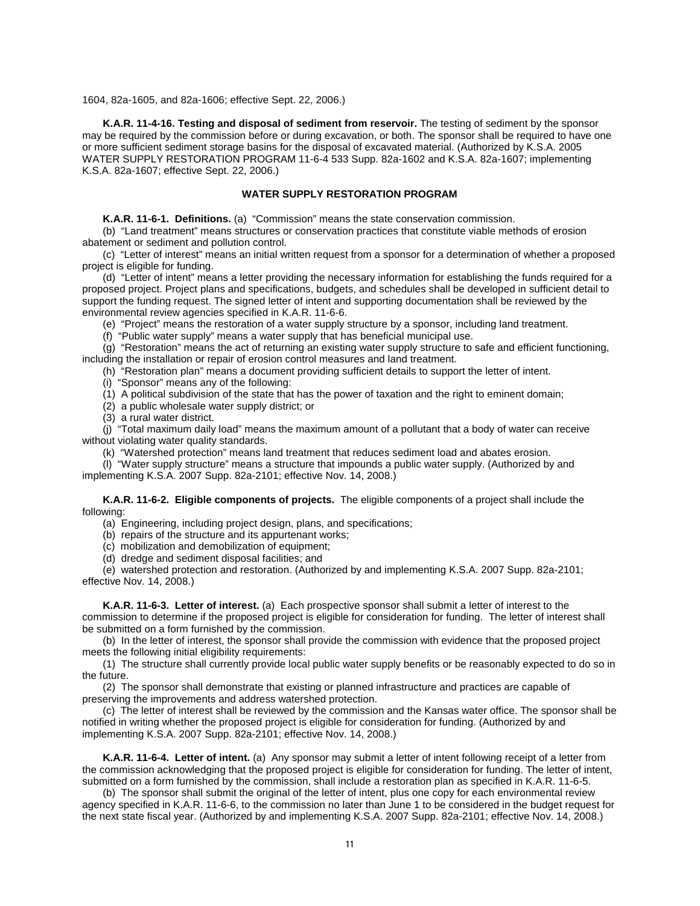1604, 82a-1605, and 82a-1606; effective Sept. 22, 2006.)

<span id="page-14-0"></span>**K.A.R. 11-4-16. Testing and disposal of sediment from reservoir.** The testing of sediment by the sponsor may be required by the commission before or during excavation, or both. The sponsor shall be required to have one or more sufficient sediment storage basins for the disposal of excavated material. (Authorized by K.S.A. 2005 WATER SUPPLY RESTORATION PROGRAM 11-6-4 533 Supp. 82a-1602 and K.S.A. 82a-1607; implementing K.S.A. 82a-1607; effective Sept. 22, 2006.)

#### **WATER SUPPLY RESTORATION PROGRAM**

<span id="page-14-1"></span>**K.A.R. 11-6-1. Definitions.** (a) "Commission" means the state conservation commission.

<span id="page-14-2"></span>(b) "Land treatment" means structures or conservation practices that constitute viable methods of erosion abatement or sediment and pollution control.

(c) "Letter of interest" means an initial written request from a sponsor for a determination of whether a proposed project is eligible for funding.

(d) "Letter of intent" means a letter providing the necessary information for establishing the funds required for a proposed project. Project plans and specifications, budgets, and schedules shall be developed in sufficient detail to support the funding request. The signed letter of intent and supporting documentation shall be reviewed by the environmental review agencies specified in K.A.R. 11-6-6.

(e) "Project" means the restoration of a water supply structure by a sponsor, including land treatment.

(f) "Public water supply" means a water supply that has beneficial municipal use.

(g) "Restoration" means the act of returning an existing water supply structure to safe and efficient functioning, including the installation or repair of erosion control measures and land treatment.

(h) "Restoration plan" means a document providing sufficient details to support the letter of intent.

(i) "Sponsor" means any of the following:

(1) A political subdivision of the state that has the power of taxation and the right to eminent domain;

(2) a public wholesale water supply district; or

(3) a rural water district.

(j) "Total maximum daily load" means the maximum amount of a pollutant that a body of water can receive without violating water quality standards.

(k) "Watershed protection" means land treatment that reduces sediment load and abates erosion.

(l) "Water supply structure" means a structure that impounds a public water supply. (Authorized by and implementing K.S.A. 2007 Supp. 82a-2101; effective Nov. 14, 2008.)

<span id="page-14-3"></span>**K.A.R. 11-6-2. Eligible components of projects.** The eligible components of a project shall include the following:

(a) Engineering, including project design, plans, and specifications;

(b) repairs of the structure and its appurtenant works;

(c) mobilization and demobilization of equipment;

(d) dredge and sediment disposal facilities; and

(e) watershed protection and restoration. (Authorized by and implementing K.S.A. 2007 Supp. 82a-2101; effective Nov. 14, 2008.)

<span id="page-14-4"></span>**K.A.R. 11-6-3. Letter of interest.** (a) Each prospective sponsor shall submit a letter of interest to the commission to determine if the proposed project is eligible for consideration for funding. The letter of interest shall be submitted on a form furnished by the commission.

(b) In the letter of interest, the sponsor shall provide the commission with evidence that the proposed project meets the following initial eligibility requirements:

(1) The structure shall currently provide local public water supply benefits or be reasonably expected to do so in the future.

(2) The sponsor shall demonstrate that existing or planned infrastructure and practices are capable of preserving the improvements and address watershed protection.

(c) The letter of interest shall be reviewed by the commission and the Kansas water office. The sponsor shall be notified in writing whether the proposed project is eligible for consideration for funding. (Authorized by and implementing K.S.A. 2007 Supp. 82a-2101; effective Nov. 14, 2008.)

<span id="page-14-5"></span>**K.A.R. 11-6-4. Letter of intent.** (a) Any sponsor may submit a letter of intent following receipt of a letter from the commission acknowledging that the proposed project is eligible for consideration for funding. The letter of intent, submitted on a form furnished by the commission, shall include a restoration plan as specified in K.A.R. 11-6-5.

(b) The sponsor shall submit the original of the letter of intent, plus one copy for each environmental review agency specified in K.A.R. 11-6-6, to the commission no later than June 1 to be considered in the budget request for the next state fiscal year. (Authorized by and implementing K.S.A. 2007 Supp. 82a-2101; effective Nov. 14, 2008.)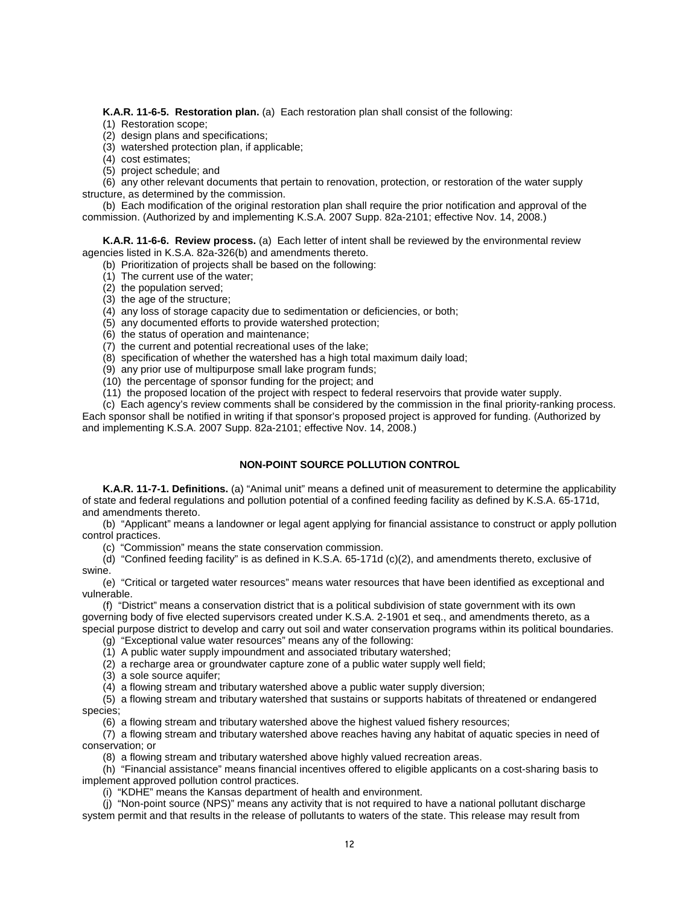<span id="page-15-0"></span>**K.A.R. 11-6-5. Restoration plan.** (a) Each restoration plan shall consist of the following:

- (1) Restoration scope;
- (2) design plans and specifications;
- (3) watershed protection plan, if applicable;
- (4) cost estimates;
- (5) project schedule; and

(6) any other relevant documents that pertain to renovation, protection, or restoration of the water supply structure, as determined by the commission.

(b) Each modification of the original restoration plan shall require the prior notification and approval of the commission. (Authorized by and implementing K.S.A. 2007 Supp. 82a-2101; effective Nov. 14, 2008.)

<span id="page-15-1"></span>**K.A.R. 11-6-6. Review process.** (a) Each letter of intent shall be reviewed by the environmental review agencies listed in K.S.A. 82a-326(b) and amendments thereto.

- (b) Prioritization of projects shall be based on the following:
- (1) The current use of the water;
- (2) the population served;
- (3) the age of the structure;
- (4) any loss of storage capacity due to sedimentation or deficiencies, or both;
- (5) any documented efforts to provide watershed protection;
- (6) the status of operation and maintenance;
- (7) the current and potential recreational uses of the lake;
- $(8)$  specification of whether the watershed has a high total maximum daily load;
- (9) any prior use of multipurpose small lake program funds;
- (10) the percentage of sponsor funding for the project; and
- (11) the proposed location of the project with respect to federal reservoirs that provide water supply.

(c) Each agency's review comments shall be considered by the commission in the final priority-ranking process. Each sponsor shall be notified in writing if that sponsor's proposed project is approved for funding. (Authorized by and implementing K.S.A. 2007 Supp. 82a-2101; effective Nov. 14, 2008.)

#### **NON-POINT SOURCE POLLUTION CONTROL**

<span id="page-15-3"></span><span id="page-15-2"></span>**K.A.R. 11-7-1. Definitions.** (a) "Animal unit" means a defined unit of measurement to determine the applicability of state and federal regulations and pollution potential of a confined feeding facility as defined by K.S.A. 65-171d, and amendments thereto.

(b) "Applicant" means a landowner or legal agent applying for financial assistance to construct or apply pollution control practices.

(c) "Commission" means the state conservation commission.

(d) "Confined feeding facility" is as defined in K.S.A. 65-171d (c)(2), and amendments thereto, exclusive of swine.

(e) "Critical or targeted water resources" means water resources that have been identified as exceptional and vulnerable.

(f) "District" means a conservation district that is a political subdivision of state government with its own governing body of five elected supervisors created under K.S.A. 2-1901 et seq., and amendments thereto, as a special purpose district to develop and carry out soil and water conservation programs within its political boundaries.

(g) "Exceptional value water resources" means any of the following:

- (1) A public water supply impoundment and associated tributary watershed;
- (2) a recharge area or groundwater capture zone of a public water supply well field;
- (3) a sole source aquifer;

 $(4)$  a flowing stream and tributary watershed above a public water supply diversion;

(5) a flowing stream and tributary watershed that sustains or supports habitats of threatened or endangered species;

(6) a flowing stream and tributary watershed above the highest valued fishery resources;

(7) a flowing stream and tributary watershed above reaches having any habitat of aquatic species in need of conservation; or

(8) a flowing stream and tributary watershed above highly valued recreation areas.

(h) "Financial assistance" means financial incentives offered to eligible applicants on a cost-sharing basis to implement approved pollution control practices.

(i) "KDHE" means the Kansas department of health and environment.

(j) "Non-point source (NPS)" means any activity that is not required to have a national pollutant discharge system permit and that results in the release of pollutants to waters of the state. This release may result from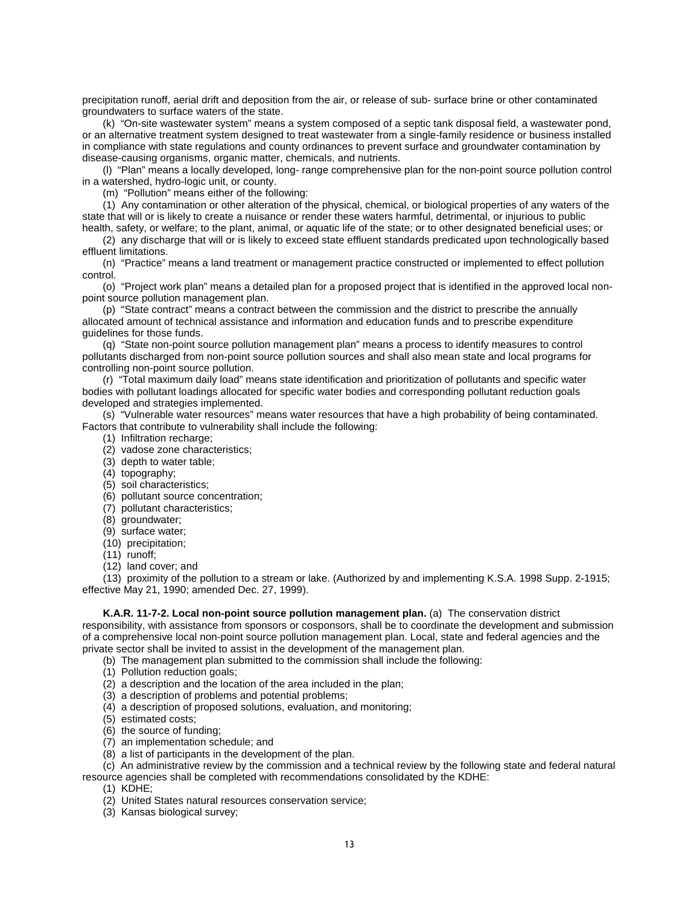precipitation runoff, aerial drift and deposition from the air, or release of sub- surface brine or other contaminated groundwaters to surface waters of the state.

(k) "On-site wastewater system" means a system composed of a septic tank disposal field, a wastewater pond, or an alternative treatment system designed to treat wastewater from a single-family residence or business installed in compliance with state regulations and county ordinances to prevent surface and groundwater contamination by disease-causing organisms, organic matter, chemicals, and nutrients.

(l) "Plan" means a locally developed, long- range comprehensive plan for the non-point source pollution control in a watershed, hydro-logic unit, or county.

(m) "Pollution" means either of the following:

(1) Any contamination or other alteration of the physical, chemical, or biological properties of any waters of the state that will or is likely to create a nuisance or render these waters harmful, detrimental, or injurious to public

health, safety, or welfare; to the plant, animal, or aquatic life of the state; or to other designated beneficial uses; or (2) any discharge that will or is likely to exceed state effluent standards predicated upon technologically based effluent limitations.

(n) "Practice" means a land treatment or management practice constructed or implemented to effect pollution control.

(o) "Project work plan" means a detailed plan for a proposed project that is identified in the approved local nonpoint source pollution management plan.

(p) "State contract" means a contract between the commission and the district to prescribe the annually allocated amount of technical assistance and information and education funds and to prescribe expenditure guidelines for those funds.

(q) "State non-point source pollution management plan" means a process to identify measures to control pollutants discharged from non-point source pollution sources and shall also mean state and local programs for controlling non-point source pollution.

(r) "Total maximum daily load" means state identification and prioritization of pollutants and specific water bodies with pollutant loadings allocated for specific water bodies and corresponding pollutant reduction goals developed and strategies implemented.

(s) "Vulnerable water resources" means water resources that have a high probability of being contaminated. Factors that contribute to vulnerability shall include the following:

- (1) Infiltration recharge;
- (2) vadose zone characteristics;
- (3) depth to water table;
- (4) topography;
- (5) soil characteristics;
- (6) pollutant source concentration;
- (7) pollutant characteristics;
- (8) groundwater;
- (9) surface water;
- (10) precipitation;
- (11) runoff;
- $(12)$  land cover; and

(13) proximity of the pollution to a stream or lake. (Authorized by and implementing K.S.A. 1998 Supp. 2-1915; effective May 21, 1990; amended Dec. 27, 1999).

#### **K.A.R. 11-7-2. Local non-point source pollution management plan.** (a) The conservation district

<span id="page-16-0"></span>responsibility, with assistance from sponsors or cosponsors, shall be to coordinate the development and submission of a comprehensive local non-point source pollution management plan. Local, state and federal agencies and the private sector shall be invited to assist in the development of the management plan.

- (b) The management plan submitted to the commission shall include the following:
- (1) Pollution reduction goals;
- (2) a description and the location of the area included in the plan;
- (3) a description of problems and potential problems;
- (4) a description of proposed solutions, evaluation, and monitoring;
- (5) estimated costs;
- (6) the source of funding;
- (7) an implementation schedule; and
- (8) a list of participants in the development of the plan.

(c) An administrative review by the commission and a technical review by the following state and federal natural

resource agencies shall be completed with recommendations consolidated by the KDHE:

(1) KDHE;

- (2) United States natural resources conservation service;
- (3) Kansas biological survey;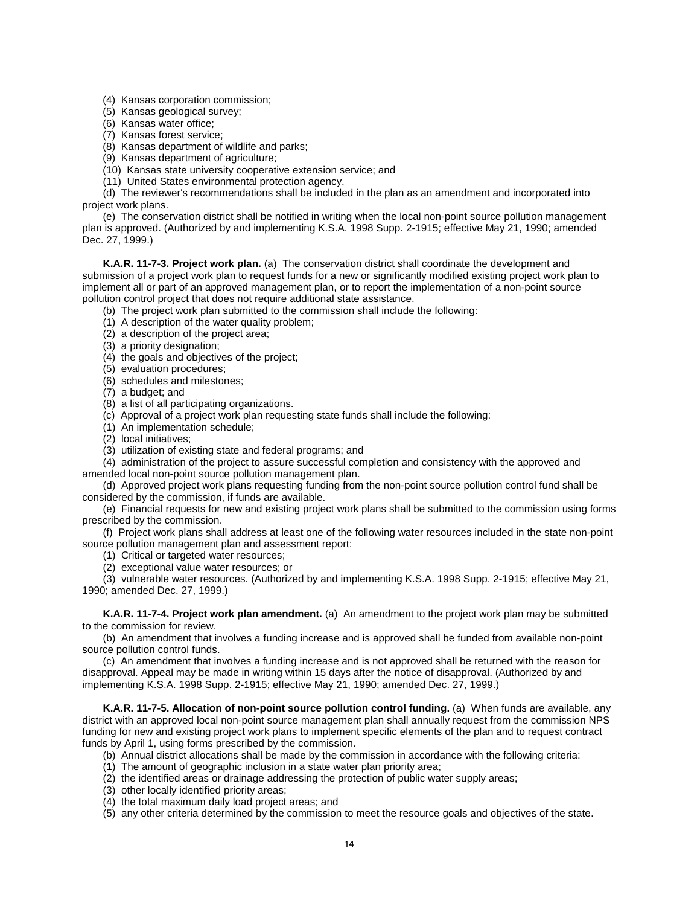- (4) Kansas corporation commission;
- (5) Kansas geological survey;
- (6) Kansas water office;
- (7) Kansas forest service;
- (8) Kansas department of wildlife and parks;
- (9) Kansas department of agriculture;
- (10) Kansas state university cooperative extension service; and
- (11) United States environmental protection agency.

(d) The reviewer's recommendations shall be included in the plan as an amendment and incorporated into project work plans.

(e) The conservation district shall be notified in writing when the local non-point source pollution management plan is approved. (Authorized by and implementing K.S.A. 1998 Supp. 2-1915; effective May 21, 1990; amended Dec. 27, 1999.)

<span id="page-17-0"></span>**K.A.R. 11-7-3. Project work plan.** (a) The conservation district shall coordinate the development and submission of a project work plan to request funds for a new or significantly modified existing project work plan to implement all or part of an approved management plan, or to report the implementation of a non-point source pollution control project that does not require additional state assistance.

- (b) The project work plan submitted to the commission shall include the following:
- (1) A description of the water quality problem;
- (2) a description of the project area;
- (3) a priority designation;
- (4) the goals and objectives of the project;
- (5) evaluation procedures;
- (6) schedules and milestones;
- (7) a budget; and
- (8) a list of all participating organizations.
- (c) Approval of a project work plan requesting state funds shall include the following:
- (1) An implementation schedule;
- (2) local initiatives;
- (3) utilization of existing state and federal programs; and
- (4) administration of the project to assure successful completion and consistency with the approved and amended local non-point source pollution management plan.

(d) Approved project work plans requesting funding from the non-point source pollution control fund shall be considered by the commission, if funds are available.

(e) Financial requests for new and existing project work plans shall be submitted to the commission using forms prescribed by the commission.

(f) Project work plans shall address at least one of the following water resources included in the state non-point source pollution management plan and assessment report:

- (1) Critical or targeted water resources;
- (2) exceptional value water resources; or

(3) vulnerable water resources. (Authorized by and implementing K.S.A. 1998 Supp. 2-1915; effective May 21, 1990; amended Dec. 27, 1999.)

<span id="page-17-1"></span>**K.A.R. 11-7-4. Project work plan amendment.** (a) An amendment to the project work plan may be submitted to the commission for review.

(b) An amendment that involves a funding increase and is approved shall be funded from available non-point source pollution control funds.

(c) An amendment that involves a funding increase and is not approved shall be returned with the reason for disapproval. Appeal may be made in writing within 15 days after the notice of disapproval. (Authorized by and implementing K.S.A. 1998 Supp. 2-1915; effective May 21, 1990; amended Dec. 27, 1999.)

<span id="page-17-2"></span>**K.A.R. 11-7-5. Allocation of non-point source pollution control funding.** (a) When funds are available, any district with an approved local non-point source management plan shall annually request from the commission NPS funding for new and existing project work plans to implement specific elements of the plan and to request contract funds by April 1, using forms prescribed by the commission.

- (b) Annual district allocations shall be made by the commission in accordance with the following criteria:
- (1) The amount of geographic inclusion in a state water plan priority area;
- (2) the identified areas or drainage addressing the protection of public water supply areas;
- (3) other locally identified priority areas;
- (4) the total maximum daily load project areas; and
- (5) any other criteria determined by the commission to meet the resource goals and objectives of the state.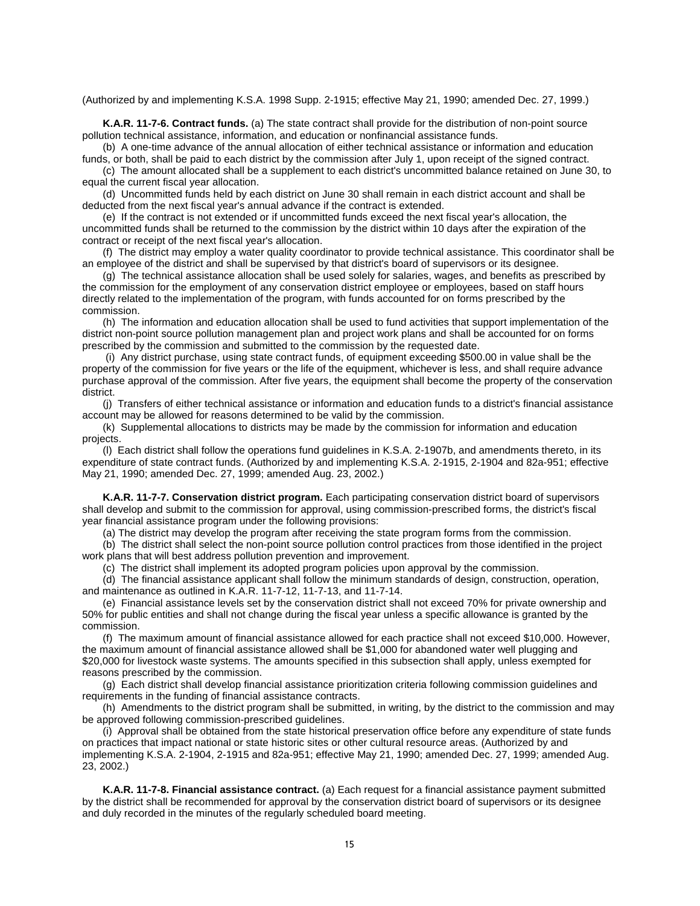(Authorized by and implementing K.S.A. 1998 Supp. 2-1915; effective May 21, 1990; amended Dec. 27, 1999.)

<span id="page-18-0"></span>**K.A.R. 11-7-6. Contract funds.** (a) The state contract shall provide for the distribution of non-point source pollution technical assistance, information, and education or nonfinancial assistance funds.

(b) A one-time advance of the annual allocation of either technical assistance or information and education funds, or both, shall be paid to each district by the commission after July 1, upon receipt of the signed contract.

(c) The amount allocated shall be a supplement to each district's uncommitted balance retained on June 30, to equal the current fiscal year allocation.

(d) Uncommitted funds held by each district on June 30 shall remain in each district account and shall be deducted from the next fiscal year's annual advance if the contract is extended.

(e) If the contract is not extended or if uncommitted funds exceed the next fiscal year's allocation, the uncommitted funds shall be returned to the commission by the district within 10 days after the expiration of the contract or receipt of the next fiscal year's allocation.

(f) The district may employ a water quality coordinator to provide technical assistance. This coordinator shall be an employee of the district and shall be supervised by that district's board of supervisors or its designee.

(g) The technical assistance allocation shall be used solely for salaries, wages, and benefits as prescribed by the commission for the employment of any conservation district employee or employees, based on staff hours directly related to the implementation of the program, with funds accounted for on forms prescribed by the commission.

(h) The information and education allocation shall be used to fund activities that support implementation of the district non-point source pollution management plan and project work plans and shall be accounted for on forms prescribed by the commission and submitted to the commission by the requested date.

(i) Any district purchase, using state contract funds, of equipment exceeding \$500.00 in value shall be the property of the commission for five years or the life of the equipment, whichever is less, and shall require advance purchase approval of the commission. After five years, the equipment shall become the property of the conservation district.

(j) Transfers of either technical assistance or information and education funds to a district's financial assistance account may be allowed for reasons determined to be valid by the commission.

(k) Supplemental allocations to districts may be made by the commission for information and education projects.

(l) Each district shall follow the operations fund guidelines in K.S.A. 2-1907b, and amendments thereto, in its expenditure of state contract funds. (Authorized by and implementing K.S.A. 2-1915, 2-1904 and 82a-951; effective May 21, 1990; amended Dec. 27, 1999; amended Aug. 23, 2002.)

<span id="page-18-1"></span>**K.A.R. 11-7-7. Conservation district program.** Each participating conservation district board of supervisors shall develop and submit to the commission for approval, using commission-prescribed forms, the district's fiscal year financial assistance program under the following provisions:

(a) The district may develop the program after receiving the state program forms from the commission.

(b) The district shall select the non-point source pollution control practices from those identified in the project work plans that will best address pollution prevention and improvement.

(c) The district shall implement its adopted program policies upon approval by the commission.

(d) The financial assistance applicant shall follow the minimum standards of design, construction, operation, and maintenance as outlined in K.A.R. 11-7-12, 11-7-13, and 11-7-14.

(e) Financial assistance levels set by the conservation district shall not exceed 70% for private ownership and 50% for public entities and shall not change during the fiscal year unless a specific allowance is granted by the commission.

(f) The maximum amount of financial assistance allowed for each practice shall not exceed \$10,000. However, the maximum amount of financial assistance allowed shall be \$1,000 for abandoned water well plugging and \$20,000 for livestock waste systems. The amounts specified in this subsection shall apply, unless exempted for reasons prescribed by the commission.

(g) Each district shall develop financial assistance prioritization criteria following commission guidelines and requirements in the funding of financial assistance contracts.

(h) Amendments to the district program shall be submitted, in writing, by the district to the commission and may be approved following commission-prescribed guidelines.

(i) Approval shall be obtained from the state historical preservation office before any expenditure of state funds on practices that impact national or state historic sites or other cultural resource areas. (Authorized by and implementing K.S.A. 2-1904, 2-1915 and 82a-951; effective May 21, 1990; amended Dec. 27, 1999; amended Aug. 23, 2002.)

<span id="page-18-2"></span>**K.A.R. 11-7-8. Financial assistance contract.** (a) Each request for a financial assistance payment submitted by the district shall be recommended for approval by the conservation district board of supervisors or its designee and duly recorded in the minutes of the regularly scheduled board meeting.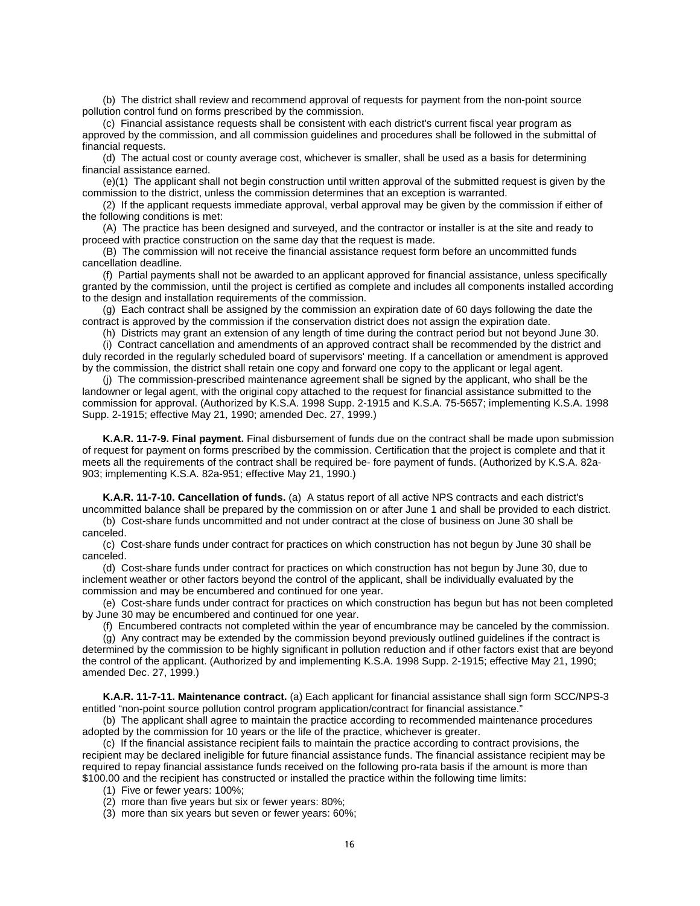(b) The district shall review and recommend approval of requests for payment from the non-point source pollution control fund on forms prescribed by the commission.

(c) Financial assistance requests shall be consistent with each district's current fiscal year program as approved by the commission, and all commission guidelines and procedures shall be followed in the submittal of financial requests.

(d) The actual cost or county average cost, whichever is smaller, shall be used as a basis for determining financial assistance earned.

(e)(1) The applicant shall not begin construction until written approval of the submitted request is given by the commission to the district, unless the commission determines that an exception is warranted.

(2) If the applicant requests immediate approval, verbal approval may be given by the commission if either of the following conditions is met:

(A) The practice has been designed and surveyed, and the contractor or installer is at the site and ready to proceed with practice construction on the same day that the request is made.

(B) The commission will not receive the financial assistance request form before an uncommitted funds cancellation deadline.

(f) Partial payments shall not be awarded to an applicant approved for financial assistance, unless specifically granted by the commission, until the project is certified as complete and includes all components installed according to the design and installation requirements of the commission.

(g) Each contract shall be assigned by the commission an expiration date of 60 days following the date the contract is approved by the commission if the conservation district does not assign the expiration date.

(h) Districts may grant an extension of any length of time during the contract period but not beyond June 30.

(i) Contract cancellation and amendments of an approved contract shall be recommended by the district and duly recorded in the regularly scheduled board of supervisors' meeting. If a cancellation or amendment is approved by the commission, the district shall retain one copy and forward one copy to the applicant or legal agent.

(j) The commission-prescribed maintenance agreement shall be signed by the applicant, who shall be the landowner or legal agent, with the original copy attached to the request for financial assistance submitted to the commission for approval. (Authorized by K.S.A. 1998 Supp. 2-1915 and K.S.A. 75-5657; implementing K.S.A. 1998 Supp. 2-1915; effective May 21, 1990; amended Dec. 27, 1999.)

<span id="page-19-0"></span>**K.A.R. 11-7-9. Final payment.** Final disbursement of funds due on the contract shall be made upon submission of request for payment on forms prescribed by the commission. Certification that the project is complete and that it meets all the requirements of the contract shall be required be- fore payment of funds. (Authorized by K.S.A. 82a-903; implementing K.S.A. 82a-951; effective May 21, 1990.)

<span id="page-19-1"></span>**K.A.R. 11-7-10. Cancellation of funds.** (a) A status report of all active NPS contracts and each district's uncommitted balance shall be prepared by the commission on or after June 1 and shall be provided to each district. (b) Cost-share funds uncommitted and not under contract at the close of business on June 30 shall be

canceled.

(c) Cost-share funds under contract for practices on which construction has not begun by June 30 shall be canceled.

(d) Cost-share funds under contract for practices on which construction has not begun by June 30, due to inclement weather or other factors beyond the control of the applicant, shall be individually evaluated by the commission and may be encumbered and continued for one year.

(e) Cost-share funds under contract for practices on which construction has begun but has not been completed by June 30 may be encumbered and continued for one year.

(f) Encumbered contracts not completed within the year of encumbrance may be canceled by the commission.

(g) Any contract may be extended by the commission beyond previously outlined guidelines if the contract is determined by the commission to be highly significant in pollution reduction and if other factors exist that are beyond the control of the applicant. (Authorized by and implementing K.S.A. 1998 Supp. 2-1915; effective May 21, 1990; amended Dec. 27, 1999.)

<span id="page-19-2"></span>**K.A.R. 11-7-11. Maintenance contract.** (a) Each applicant for financial assistance shall sign form SCC/NPS-3 entitled "non-point source pollution control program application/contract for financial assistance."

(b) The applicant shall agree to maintain the practice according to recommended maintenance procedures adopted by the commission for 10 years or the life of the practice, whichever is greater.

(c) If the financial assistance recipient fails to maintain the practice according to contract provisions, the recipient may be declared ineligible for future financial assistance funds. The financial assistance recipient may be required to repay financial assistance funds received on the following pro-rata basis if the amount is more than \$100.00 and the recipient has constructed or installed the practice within the following time limits:

(1) Five or fewer years: 100%;

(2) more than five years but six or fewer years: 80%;

(3) more than six years but seven or fewer years: 60%;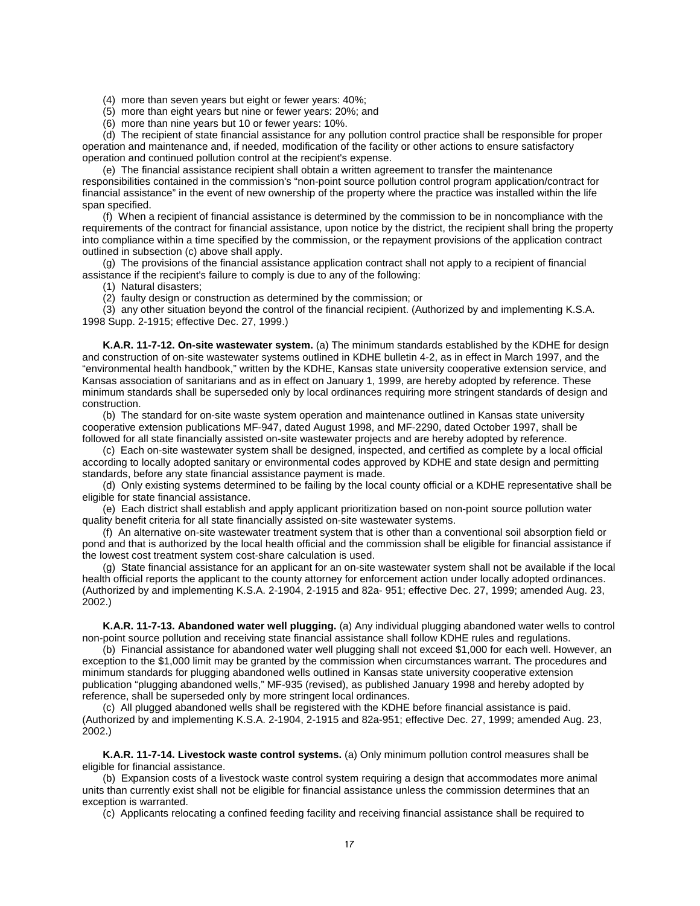(4) more than seven years but eight or fewer years: 40%;

(5) more than eight years but nine or fewer years: 20%; and

(6) more than nine years but 10 or fewer years: 10%.

(d) The recipient of state financial assistance for any pollution control practice shall be responsible for proper operation and maintenance and, if needed, modification of the facility or other actions to ensure satisfactory operation and continued pollution control at the recipient's expense.

(e) The financial assistance recipient shall obtain a written agreement to transfer the maintenance responsibilities contained in the commission's "non-point source pollution control program application/contract for financial assistance" in the event of new ownership of the property where the practice was installed within the life span specified.

(f) When a recipient of financial assistance is determined by the commission to be in noncompliance with the requirements of the contract for financial assistance, upon notice by the district, the recipient shall bring the property into compliance within a time specified by the commission, or the repayment provisions of the application contract outlined in subsection (c) above shall apply.

(g) The provisions of the financial assistance application contract shall not apply to a recipient of financial assistance if the recipient's failure to comply is due to any of the following:

(1) Natural disasters;

(2) faulty design or construction as determined by the commission; or

(3) any other situation beyond the control of the financial recipient. (Authorized by and implementing K.S.A. 1998 Supp. 2-1915; effective Dec. 27, 1999.)

<span id="page-20-0"></span>**K.A.R. 11-7-12. On-site wastewater system.** (a) The minimum standards established by the KDHE for design and construction of on-site wastewater systems outlined in KDHE bulletin 4-2, as in effect in March 1997, and the "environmental health handbook," written by the KDHE, Kansas state university cooperative extension service, and Kansas association of sanitarians and as in effect on January 1, 1999, are hereby adopted by reference. These minimum standards shall be superseded only by local ordinances requiring more stringent standards of design and construction.

(b) The standard for on-site waste system operation and maintenance outlined in Kansas state university cooperative extension publications MF-947, dated August 1998, and MF-2290, dated October 1997, shall be followed for all state financially assisted on-site wastewater projects and are hereby adopted by reference.

(c) Each on-site wastewater system shall be designed, inspected, and certified as complete by a local official according to locally adopted sanitary or environmental codes approved by KDHE and state design and permitting standards, before any state financial assistance payment is made.

(d) Only existing systems determined to be failing by the local county official or a KDHE representative shall be eligible for state financial assistance.

(e) Each district shall establish and apply applicant prioritization based on non-point source pollution water quality benefit criteria for all state financially assisted on-site wastewater systems.

(f) An alternative on-site wastewater treatment system that is other than a conventional soil absorption field or pond and that is authorized by the local health official and the commission shall be eligible for financial assistance if the lowest cost treatment system cost-share calculation is used.

(g) State financial assistance for an applicant for an on-site wastewater system shall not be available if the local health official reports the applicant to the county attorney for enforcement action under locally adopted ordinances. (Authorized by and implementing K.S.A. 2-1904, 2-1915 and 82a- 951; effective Dec. 27, 1999; amended Aug. 23, 2002.)

<span id="page-20-1"></span>**K.A.R. 11-7-13. Abandoned water well plugging.** (a) Any individual plugging abandoned water wells to control non-point source pollution and receiving state financial assistance shall follow KDHE rules and regulations.

(b) Financial assistance for abandoned water well plugging shall not exceed \$1,000 for each well. However, an exception to the \$1,000 limit may be granted by the commission when circumstances warrant. The procedures and minimum standards for plugging abandoned wells outlined in Kansas state university cooperative extension publication "plugging abandoned wells," MF-935 (revised), as published January 1998 and hereby adopted by reference, shall be superseded only by more stringent local ordinances.

(c) All plugged abandoned wells shall be registered with the KDHE before financial assistance is paid. (Authorized by and implementing K.S.A. 2-1904, 2-1915 and 82a-951; effective Dec. 27, 1999; amended Aug. 23, 2002.)

<span id="page-20-2"></span>**K.A.R. 11-7-14. Livestock waste control systems.** (a) Only minimum pollution control measures shall be eligible for financial assistance.

(b) Expansion costs of a livestock waste control system requiring a design that accommodates more animal units than currently exist shall not be eligible for financial assistance unless the commission determines that an exception is warranted.

(c) Applicants relocating a confined feeding facility and receiving financial assistance shall be required to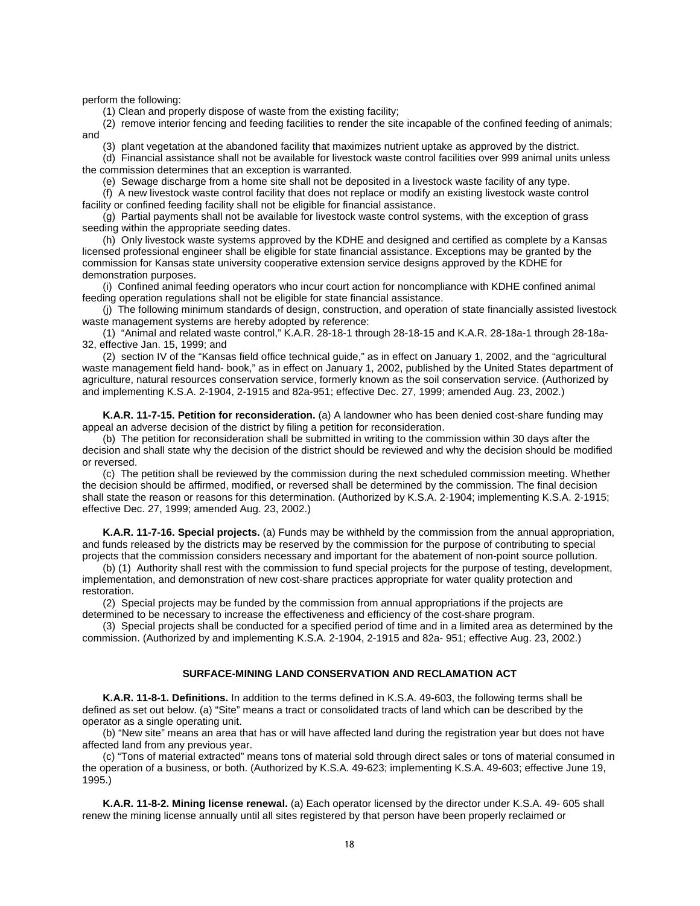perform the following:

(1) Clean and properly dispose of waste from the existing facility;

(2) remove interior fencing and feeding facilities to render the site incapable of the confined feeding of animals; and

(3) plant vegetation at the abandoned facility that maximizes nutrient uptake as approved by the district.

(d) Financial assistance shall not be available for livestock waste control facilities over 999 animal units unless the commission determines that an exception is warranted.

(e) Sewage discharge from a home site shall not be deposited in a livestock waste facility of any type.

(f) A new livestock waste control facility that does not replace or modify an existing livestock waste control facility or confined feeding facility shall not be eligible for financial assistance.

(g) Partial payments shall not be available for livestock waste control systems, with the exception of grass seeding within the appropriate seeding dates.

(h) Only livestock waste systems approved by the KDHE and designed and certified as complete by a Kansas licensed professional engineer shall be eligible for state financial assistance. Exceptions may be granted by the commission for Kansas state university cooperative extension service designs approved by the KDHE for demonstration purposes.

(i) Confined animal feeding operators who incur court action for noncompliance with KDHE confined animal feeding operation regulations shall not be eligible for state financial assistance.

(j) The following minimum standards of design, construction, and operation of state financially assisted livestock waste management systems are hereby adopted by reference:

(1) "Animal and related waste control," K.A.R. 28-18-1 through 28-18-15 and K.A.R. 28-18a-1 through 28-18a-32, effective Jan. 15, 1999; and

(2) section IV of the "Kansas field office technical guide," as in effect on January 1, 2002, and the "agricultural waste management field hand- book," as in effect on January 1, 2002, published by the United States department of agriculture, natural resources conservation service, formerly known as the soil conservation service. (Authorized by and implementing K.S.A. 2-1904, 2-1915 and 82a-951; effective Dec. 27, 1999; amended Aug. 23, 2002.)

<span id="page-21-0"></span>**K.A.R. 11-7-15. Petition for reconsideration.** (a) A landowner who has been denied cost-share funding may appeal an adverse decision of the district by filing a petition for reconsideration.

(b) The petition for reconsideration shall be submitted in writing to the commission within 30 days after the decision and shall state why the decision of the district should be reviewed and why the decision should be modified or reversed.

(c) The petition shall be reviewed by the commission during the next scheduled commission meeting. Whether the decision should be affirmed, modified, or reversed shall be determined by the commission. The final decision shall state the reason or reasons for this determination. (Authorized by K.S.A. 2-1904; implementing K.S.A. 2-1915; effective Dec. 27, 1999; amended Aug. 23, 2002.)

<span id="page-21-1"></span>**K.A.R. 11-7-16. Special projects.** (a) Funds may be withheld by the commission from the annual appropriation, and funds released by the districts may be reserved by the commission for the purpose of contributing to special projects that the commission considers necessary and important for the abatement of non-point source pollution.

(b) (1) Authority shall rest with the commission to fund special projects for the purpose of testing, development, implementation, and demonstration of new cost-share practices appropriate for water quality protection and restoration.

(2) Special projects may be funded by the commission from annual appropriations if the projects are determined to be necessary to increase the effectiveness and efficiency of the cost-share program.

(3) Special projects shall be conducted for a specified period of time and in a limited area as determined by the commission. (Authorized by and implementing K.S.A. 2-1904, 2-1915 and 82a- 951; effective Aug. 23, 2002.)

#### **SURFACE-MINING LAND CONSERVATION AND RECLAMATION ACT**

<span id="page-21-3"></span><span id="page-21-2"></span>**K.A.R. 11-8-1. Definitions.** In addition to the terms defined in K.S.A. 49-603, the following terms shall be defined as set out below. (a) "Site" means a tract or consolidated tracts of land which can be described by the operator as a single operating unit.

(b) "New site" means an area that has or will have affected land during the registration year but does not have affected land from any previous year.

(c) "Tons of material extracted" means tons of material sold through direct sales or tons of material consumed in the operation of a business, or both. (Authorized by K.S.A. 49-623; implementing K.S.A. 49-603; effective June 19, 1995.)

<span id="page-21-4"></span>**K.A.R. 11-8-2. Mining license renewal.** (a) Each operator licensed by the director under K.S.A. 49- 605 shall renew the mining license annually until all sites registered by that person have been properly reclaimed or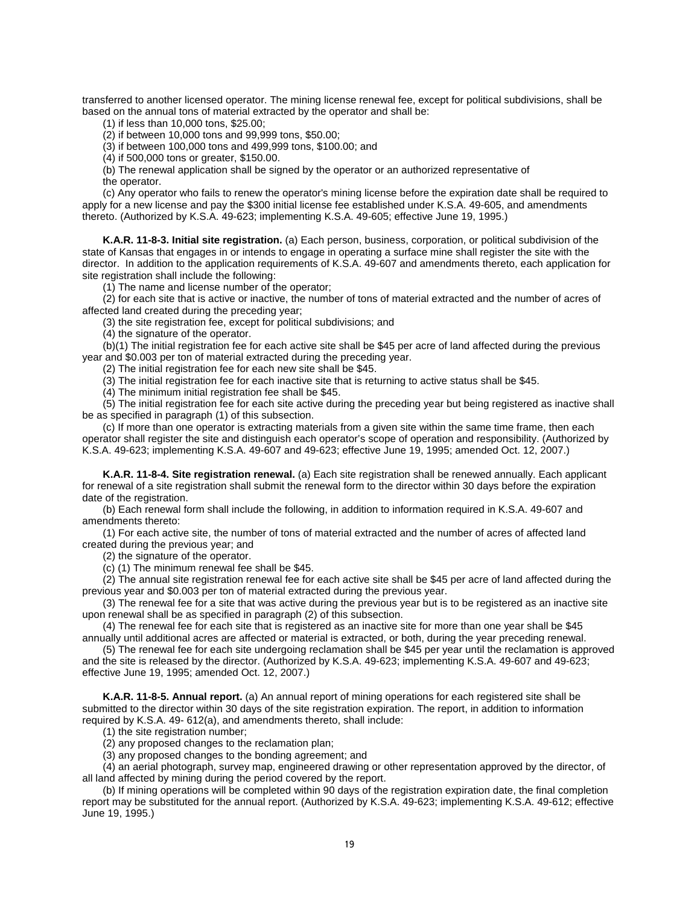transferred to another licensed operator. The mining license renewal fee, except for political subdivisions, shall be based on the annual tons of material extracted by the operator and shall be:

(1) if less than 10,000 tons, \$25.00;

(2) if between 10,000 tons and 99,999 tons, \$50.00;

(3) if between 100,000 tons and 499,999 tons, \$100.00; and

(4) if 500,000 tons or greater, \$150.00.

(b) The renewal application shall be signed by the operator or an authorized representative of the operator.

(c) Any operator who fails to renew the operator's mining license before the expiration date shall be required to apply for a new license and pay the \$300 initial license fee established under K.S.A. 49-605, and amendments thereto. (Authorized by K.S.A. 49-623; implementing K.S.A. 49-605; effective June 19, 1995.)

<span id="page-22-0"></span>**K.A.R. 11-8-3. Initial site registration.** (a) Each person, business, corporation, or political subdivision of the state of Kansas that engages in or intends to engage in operating a surface mine shall register the site with the director. In addition to the application requirements of K.S.A. 49-607 and amendments thereto, each application for site registration shall include the following:

(1) The name and license number of the operator;

(2) for each site that is active or inactive, the number of tons of material extracted and the number of acres of affected land created during the preceding year;

(3) the site registration fee, except for political subdivisions; and

(4) the signature of the operator.

(b)(1) The initial registration fee for each active site shall be \$45 per acre of land affected during the previous year and \$0.003 per ton of material extracted during the preceding year.

(2) The initial registration fee for each new site shall be \$45.

(3) The initial registration fee for each inactive site that is returning to active status shall be \$45.

(4) The minimum initial registration fee shall be \$45.

(5) The initial registration fee for each site active during the preceding year but being registered as inactive shall be as specified in paragraph (1) of this subsection.

(c) If more than one operator is extracting materials from a given site within the same time frame, then each operator shall register the site and distinguish each operator's scope of operation and responsibility. (Authorized by K.S.A. 49-623; implementing K.S.A. 49-607 and 49-623; effective June 19, 1995; amended Oct. 12, 2007.)

<span id="page-22-1"></span>**K.A.R. 11-8-4. Site registration renewal.** (a) Each site registration shall be renewed annually. Each applicant for renewal of a site registration shall submit the renewal form to the director within 30 days before the expiration date of the registration.

(b) Each renewal form shall include the following, in addition to information required in K.S.A. 49-607 and amendments thereto:

(1) For each active site, the number of tons of material extracted and the number of acres of affected land created during the previous year; and

(2) the signature of the operator.

(c) (1) The minimum renewal fee shall be \$45.

(2) The annual site registration renewal fee for each active site shall be \$45 per acre of land affected during the previous year and \$0.003 per ton of material extracted during the previous year.

(3) The renewal fee for a site that was active during the previous year but is to be registered as an inactive site upon renewal shall be as specified in paragraph (2) of this subsection.

(4) The renewal fee for each site that is registered as an inactive site for more than one year shall be \$45 annually until additional acres are affected or material is extracted, or both, during the year preceding renewal.

(5) The renewal fee for each site undergoing reclamation shall be \$45 per year until the reclamation is approved and the site is released by the director. (Authorized by K.S.A. 49-623; implementing K.S.A. 49-607 and 49-623; effective June 19, 1995; amended Oct. 12, 2007.)

<span id="page-22-2"></span>**K.A.R. 11-8-5. Annual report.** (a) An annual report of mining operations for each registered site shall be submitted to the director within 30 days of the site registration expiration. The report, in addition to information required by K.S.A. 49- 612(a), and amendments thereto, shall include:

(1) the site registration number;

(2) any proposed changes to the reclamation plan;

(3) any proposed changes to the bonding agreement; and

(4) an aerial photograph, survey map, engineered drawing or other representation approved by the director, of all land affected by mining during the period covered by the report.

(b) If mining operations will be completed within 90 days of the registration expiration date, the final completion report may be substituted for the annual report. (Authorized by K.S.A. 49-623; implementing K.S.A. 49-612; effective June 19, 1995.)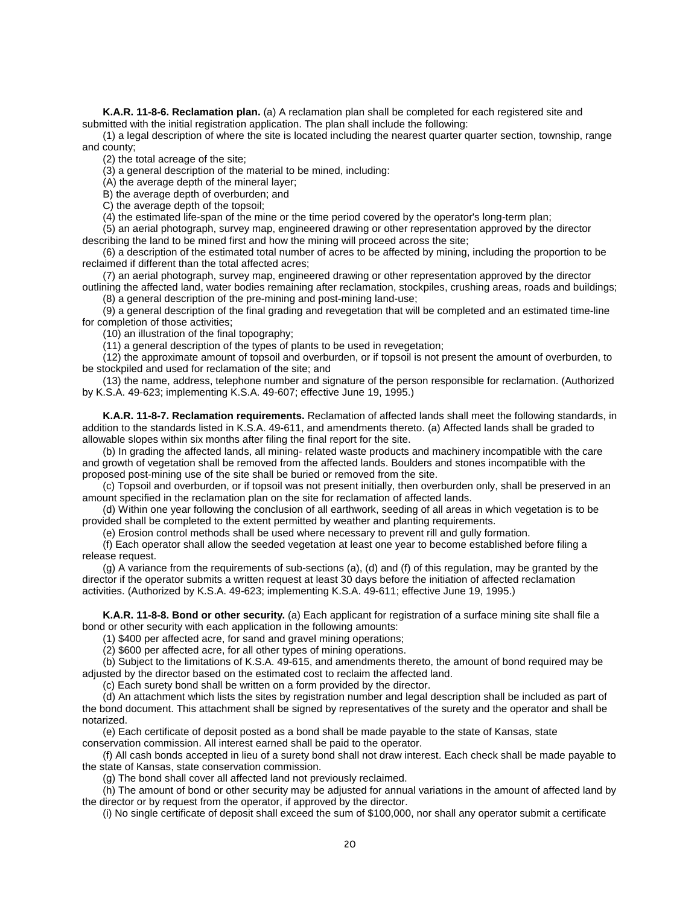<span id="page-23-0"></span>**K.A.R. 11-8-6. Reclamation plan.** (a) A reclamation plan shall be completed for each registered site and submitted with the initial registration application. The plan shall include the following:

(1) a legal description of where the site is located including the nearest quarter quarter section, township, range and county;

(2) the total acreage of the site;

(3) a general description of the material to be mined, including:

(A) the average depth of the mineral layer;

B) the average depth of overburden; and

C) the average depth of the topsoil;

(4) the estimated life-span of the mine or the time period covered by the operator's long-term plan;

(5) an aerial photograph, survey map, engineered drawing or other representation approved by the director describing the land to be mined first and how the mining will proceed across the site;

(6) a description of the estimated total number of acres to be affected by mining, including the proportion to be reclaimed if different than the total affected acres;

(7) an aerial photograph, survey map, engineered drawing or other representation approved by the director outlining the affected land, water bodies remaining after reclamation, stockpiles, crushing areas, roads and buildings;

(8) a general description of the pre-mining and post-mining land-use;

(9) a general description of the final grading and revegetation that will be completed and an estimated time-line for completion of those activities;

(10) an illustration of the final topography;

(11) a general description of the types of plants to be used in revegetation;

(12) the approximate amount of topsoil and overburden, or if topsoil is not present the amount of overburden, to be stockpiled and used for reclamation of the site; and

(13) the name, address, telephone number and signature of the person responsible for reclamation. (Authorized by K.S.A. 49-623; implementing K.S.A. 49-607; effective June 19, 1995.)

<span id="page-23-1"></span>**K.A.R. 11-8-7. Reclamation requirements.** Reclamation of affected lands shall meet the following standards, in addition to the standards listed in K.S.A. 49-611, and amendments thereto. (a) Affected lands shall be graded to allowable slopes within six months after filing the final report for the site.

(b) In grading the affected lands, all mining- related waste products and machinery incompatible with the care and growth of vegetation shall be removed from the affected lands. Boulders and stones incompatible with the proposed post-mining use of the site shall be buried or removed from the site.

(c) Topsoil and overburden, or if topsoil was not present initially, then overburden only, shall be preserved in an amount specified in the reclamation plan on the site for reclamation of affected lands.

(d) Within one year following the conclusion of all earthwork, seeding of all areas in which vegetation is to be provided shall be completed to the extent permitted by weather and planting requirements.

(e) Erosion control methods shall be used where necessary to prevent rill and gully formation.

(f) Each operator shall allow the seeded vegetation at least one year to become established before filing a release request.

(g) A variance from the requirements of sub-sections (a), (d) and (f) of this regulation, may be granted by the director if the operator submits a written request at least 30 days before the initiation of affected reclamation activities. (Authorized by K.S.A. 49-623; implementing K.S.A. 49-611; effective June 19, 1995.)

<span id="page-23-2"></span>**K.A.R. 11-8-8. Bond or other security.** (a) Each applicant for registration of a surface mining site shall file a bond or other security with each application in the following amounts:

(1) \$400 per affected acre, for sand and gravel mining operations;

(2) \$600 per affected acre, for all other types of mining operations.

(b) Subject to the limitations of K.S.A. 49-615, and amendments thereto, the amount of bond required may be adjusted by the director based on the estimated cost to reclaim the affected land.

(c) Each surety bond shall be written on a form provided by the director.

(d) An attachment which lists the sites by registration number and legal description shall be included as part of the bond document. This attachment shall be signed by representatives of the surety and the operator and shall be notarized.

(e) Each certificate of deposit posted as a bond shall be made payable to the state of Kansas, state conservation commission. All interest earned shall be paid to the operator.

(f) All cash bonds accepted in lieu of a surety bond shall not draw interest. Each check shall be made payable to the state of Kansas, state conservation commission.

(g) The bond shall cover all affected land not previously reclaimed.

(h) The amount of bond or other security may be adjusted for annual variations in the amount of affected land by the director or by request from the operator, if approved by the director.

(i) No single certificate of deposit shall exceed the sum of \$100,000, nor shall any operator submit a certificate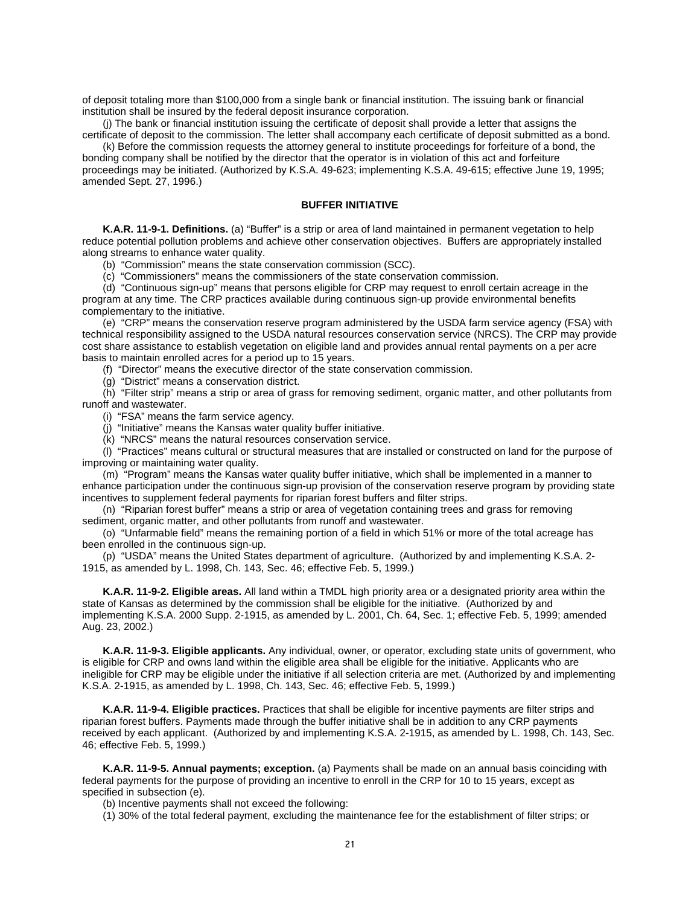of deposit totaling more than \$100,000 from a single bank or financial institution. The issuing bank or financial institution shall be insured by the federal deposit insurance corporation.

(j) The bank or financial institution issuing the certificate of deposit shall provide a letter that assigns the certificate of deposit to the commission. The letter shall accompany each certificate of deposit submitted as a bond.

(k) Before the commission requests the attorney general to institute proceedings for forfeiture of a bond, the bonding company shall be notified by the director that the operator is in violation of this act and forfeiture

proceedings may be initiated. (Authorized by K.S.A. 49-623; implementing K.S.A. 49-615; effective June 19, 1995; amended Sept. 27, 1996.)

#### **BUFFER INITIATIVE**

<span id="page-24-1"></span><span id="page-24-0"></span>**K.A.R. 11-9-1. Definitions.** (a) "Buffer" is a strip or area of land maintained in permanent vegetation to help reduce potential pollution problems and achieve other conservation objectives. Buffers are appropriately installed along streams to enhance water quality.

(b) "Commission" means the state conservation commission (SCC).

(c) "Commissioners" means the commissioners of the state conservation commission.

(d) "Continuous sign-up" means that persons eligible for CRP may request to enroll certain acreage in the program at any time. The CRP practices available during continuous sign-up provide environmental benefits complementary to the initiative.

(e) "CRP" means the conservation reserve program administered by the USDA farm service agency (FSA) with technical responsibility assigned to the USDA natural resources conservation service (NRCS). The CRP may provide cost share assistance to establish vegetation on eligible land and provides annual rental payments on a per acre basis to maintain enrolled acres for a period up to 15 years.

(f) "Director" means the executive director of the state conservation commission.

(g) "District" means a conservation district.

(h) "Filter strip" means a strip or area of grass for removing sediment, organic matter, and other pollutants from runoff and wastewater.

(i) "FSA" means the farm service agency.

(j) "Initiative" means the Kansas water quality buffer initiative.

(k) "NRCS" means the natural resources conservation service.

(l) "Practices" means cultural or structural measures that are installed or constructed on land for the purpose of improving or maintaining water quality.

(m) "Program" means the Kansas water quality buffer initiative, which shall be implemented in a manner to enhance participation under the continuous sign-up provision of the conservation reserve program by providing state incentives to supplement federal payments for riparian forest buffers and filter strips.

(n) "Riparian forest buffer" means a strip or area of vegetation containing trees and grass for removing sediment, organic matter, and other pollutants from runoff and wastewater.

(o) "Unfarmable field" means the remaining portion of a field in which 51% or more of the total acreage has been enrolled in the continuous sign-up.

(p) "USDA" means the United States department of agriculture. (Authorized by and implementing K.S.A. 2- 1915, as amended by L. 1998, Ch. 143, Sec. 46; effective Feb. 5, 1999.)

<span id="page-24-2"></span>**K.A.R. 11-9-2. Eligible areas.** All land within a TMDL high priority area or a designated priority area within the state of Kansas as determined by the commission shall be eligible for the initiative. (Authorized by and implementing K.S.A. 2000 Supp. 2-1915, as amended by L. 2001, Ch. 64, Sec. 1; effective Feb. 5, 1999; amended Aug. 23, 2002.)

<span id="page-24-3"></span>**K.A.R. 11-9-3. Eligible applicants.** Any individual, owner, or operator, excluding state units of government, who is eligible for CRP and owns land within the eligible area shall be eligible for the initiative. Applicants who are ineligible for CRP may be eligible under the initiative if all selection criteria are met. (Authorized by and implementing K.S.A. 2-1915, as amended by L. 1998, Ch. 143, Sec. 46; effective Feb. 5, 1999.)

<span id="page-24-4"></span>**K.A.R. 11-9-4. Eligible practices.** Practices that shall be eligible for incentive payments are filter strips and riparian forest buffers. Payments made through the buffer initiative shall be in addition to any CRP payments received by each applicant. (Authorized by and implementing K.S.A. 2-1915, as amended by L. 1998, Ch. 143, Sec. 46; effective Feb. 5, 1999.)

<span id="page-24-5"></span>**K.A.R. 11-9-5. Annual payments; exception.** (a) Payments shall be made on an annual basis coinciding with federal payments for the purpose of providing an incentive to enroll in the CRP for 10 to 15 years, except as specified in subsection (e).

(b) Incentive payments shall not exceed the following:

(1) 30% of the total federal payment, excluding the maintenance fee for the establishment of filter strips; or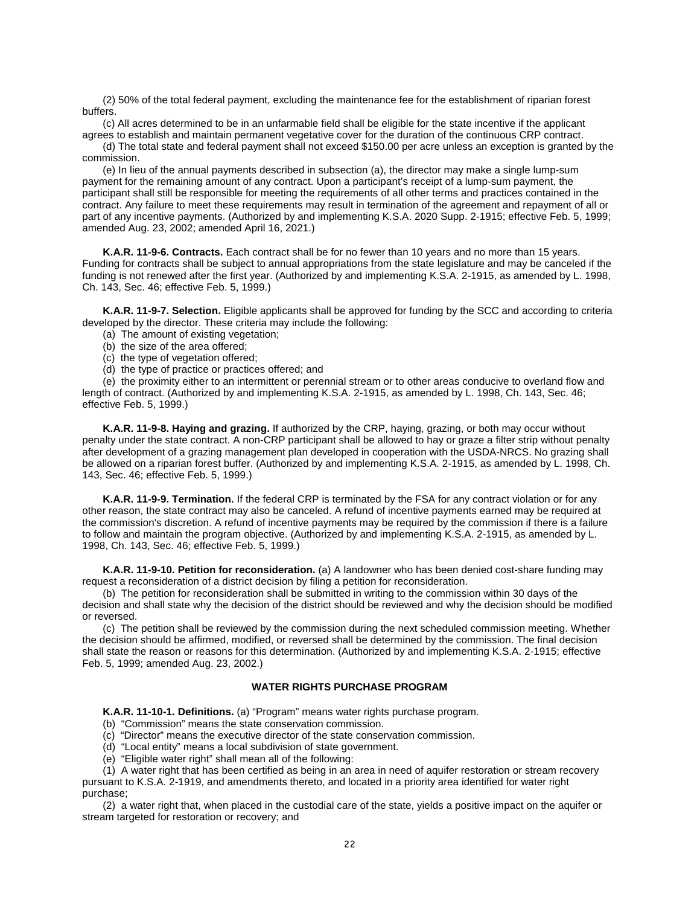(2) 50% of the total federal payment, excluding the maintenance fee for the establishment of riparian forest buffers.

(c) All acres determined to be in an unfarmable field shall be eligible for the state incentive if the applicant agrees to establish and maintain permanent vegetative cover for the duration of the continuous CRP contract.

(d) The total state and federal payment shall not exceed \$150.00 per acre unless an exception is granted by the commission.

(e) In lieu of the annual payments described in subsection (a), the director may make a single lump-sum payment for the remaining amount of any contract. Upon a participant's receipt of a lump-sum payment, the participant shall still be responsible for meeting the requirements of all other terms and practices contained in the contract. Any failure to meet these requirements may result in termination of the agreement and repayment of all or part of any incentive payments. (Authorized by and implementing K.S.A. 2020 Supp. 2-1915; effective Feb. 5, 1999; amended Aug. 23, 2002; amended April 16, 2021.)

<span id="page-25-0"></span>**K.A.R. 11-9-6. Contracts.** Each contract shall be for no fewer than 10 years and no more than 15 years. Funding for contracts shall be subject to annual appropriations from the state legislature and may be canceled if the funding is not renewed after the first year. (Authorized by and implementing K.S.A. 2-1915, as amended by L. 1998, Ch. 143, Sec. 46; effective Feb. 5, 1999.)

<span id="page-25-1"></span>**K.A.R. 11-9-7. Selection.** Eligible applicants shall be approved for funding by the SCC and according to criteria developed by the director. These criteria may include the following:

- (a) The amount of existing vegetation;
- (b) the size of the area offered;
- (c) the type of vegetation offered;
- (d) the type of practice or practices offered; and

(e) the proximity either to an intermittent or perennial stream or to other areas conducive to overland flow and length of contract. (Authorized by and implementing K.S.A. 2-1915, as amended by L. 1998, Ch. 143, Sec. 46; effective Feb. 5, 1999.)

<span id="page-25-2"></span>**K.A.R. 11-9-8. Haying and grazing.** If authorized by the CRP, haying, grazing, or both may occur without penalty under the state contract. A non-CRP participant shall be allowed to hay or graze a filter strip without penalty after development of a grazing management plan developed in cooperation with the USDA-NRCS. No grazing shall be allowed on a riparian forest buffer. (Authorized by and implementing K.S.A. 2-1915, as amended by L. 1998, Ch. 143, Sec. 46; effective Feb. 5, 1999.)

<span id="page-25-3"></span>**K.A.R. 11-9-9. Termination.** If the federal CRP is terminated by the FSA for any contract violation or for any other reason, the state contract may also be canceled. A refund of incentive payments earned may be required at the commission's discretion. A refund of incentive payments may be required by the commission if there is a failure to follow and maintain the program objective. (Authorized by and implementing K.S.A. 2-1915, as amended by L. 1998, Ch. 143, Sec. 46; effective Feb. 5, 1999.)

<span id="page-25-4"></span>**K.A.R. 11-9-10. Petition for reconsideration.** (a) A landowner who has been denied cost-share funding may request a reconsideration of a district decision by filing a petition for reconsideration.

(b) The petition for reconsideration shall be submitted in writing to the commission within 30 days of the decision and shall state why the decision of the district should be reviewed and why the decision should be modified or reversed.

(c) The petition shall be reviewed by the commission during the next scheduled commission meeting. Whether the decision should be affirmed, modified, or reversed shall be determined by the commission. The final decision shall state the reason or reasons for this determination. (Authorized by and implementing K.S.A. 2-1915; effective Feb. 5, 1999; amended Aug. 23, 2002.)

#### **WATER RIGHTS PURCHASE PROGRAM**

<span id="page-25-6"></span><span id="page-25-5"></span>**K.A.R. 11-10-1. Definitions.** (a) "Program" means water rights purchase program.

- (b) "Commission" means the state conservation commission.
- (c) "Director" means the executive director of the state conservation commission.
- (d) "Local entity" means a local subdivision of state government.
- (e) "Eligible water right" shall mean all of the following:

(1) A water right that has been certified as being in an area in need of aquifer restoration or stream recovery

pursuant to K.S.A. 2-1919, and amendments thereto, and located in a priority area identified for water right purchase;

(2) a water right that, when placed in the custodial care of the state, yields a positive impact on the aquifer or stream targeted for restoration or recovery; and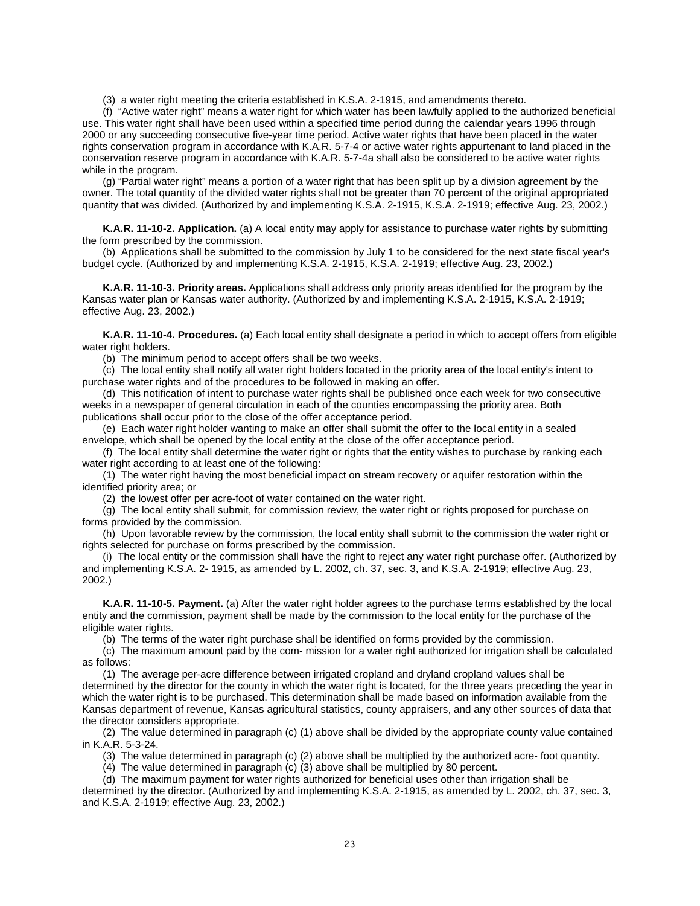(3) a water right meeting the criteria established in K.S.A. 2-1915, and amendments thereto.

(f) "Active water right" means a water right for which water has been lawfully applied to the authorized beneficial use. This water right shall have been used within a specified time period during the calendar years 1996 through 2000 or any succeeding consecutive five-year time period. Active water rights that have been placed in the water rights conservation program in accordance with K.A.R. 5-7-4 or active water rights appurtenant to land placed in the conservation reserve program in accordance with K.A.R. 5-7-4a shall also be considered to be active water rights while in the program.

(g) "Partial water right" means a portion of a water right that has been split up by a division agreement by the owner. The total quantity of the divided water rights shall not be greater than 70 percent of the original appropriated quantity that was divided. (Authorized by and implementing K.S.A. 2-1915, K.S.A. 2-1919; effective Aug. 23, 2002.)

<span id="page-26-0"></span>**K.A.R. 11-10-2. Application.** (a) A local entity may apply for assistance to purchase water rights by submitting the form prescribed by the commission.

(b) Applications shall be submitted to the commission by July 1 to be considered for the next state fiscal year's budget cycle. (Authorized by and implementing K.S.A. 2-1915, K.S.A. 2-1919; effective Aug. 23, 2002.)

<span id="page-26-1"></span>**K.A.R. 11-10-3. Priority areas.** Applications shall address only priority areas identified for the program by the Kansas water plan or Kansas water authority. (Authorized by and implementing K.S.A. 2-1915, K.S.A. 2-1919; effective Aug. 23, 2002.)

<span id="page-26-2"></span>**K.A.R. 11-10-4. Procedures.** (a) Each local entity shall designate a period in which to accept offers from eligible water right holders.

(b) The minimum period to accept offers shall be two weeks.

(c) The local entity shall notify all water right holders located in the priority area of the local entity's intent to purchase water rights and of the procedures to be followed in making an offer.

(d) This notification of intent to purchase water rights shall be published once each week for two consecutive weeks in a newspaper of general circulation in each of the counties encompassing the priority area. Both publications shall occur prior to the close of the offer acceptance period.

(e) Each water right holder wanting to make an offer shall submit the offer to the local entity in a sealed envelope, which shall be opened by the local entity at the close of the offer acceptance period.

(f) The local entity shall determine the water right or rights that the entity wishes to purchase by ranking each water right according to at least one of the following:

(1) The water right having the most beneficial impact on stream recovery or aquifer restoration within the identified priority area; or

(2) the lowest offer per acre-foot of water contained on the water right.

(g) The local entity shall submit, for commission review, the water right or rights proposed for purchase on forms provided by the commission.

(h) Upon favorable review by the commission, the local entity shall submit to the commission the water right or rights selected for purchase on forms prescribed by the commission.

(i) The local entity or the commission shall have the right to reject any water right purchase offer. (Authorized by and implementing K.S.A. 2- 1915, as amended by L. 2002, ch. 37, sec. 3, and K.S.A. 2-1919; effective Aug. 23, 2002.)

<span id="page-26-3"></span>**K.A.R. 11-10-5. Payment.** (a) After the water right holder agrees to the purchase terms established by the local entity and the commission, payment shall be made by the commission to the local entity for the purchase of the eligible water rights.

(b) The terms of the water right purchase shall be identified on forms provided by the commission.

(c) The maximum amount paid by the com- mission for a water right authorized for irrigation shall be calculated as follows:

(1) The average per-acre difference between irrigated cropland and dryland cropland values shall be determined by the director for the county in which the water right is located, for the three years preceding the year in which the water right is to be purchased. This determination shall be made based on information available from the Kansas department of revenue, Kansas agricultural statistics, county appraisers, and any other sources of data that the director considers appropriate.

(2) The value determined in paragraph (c) (1) above shall be divided by the appropriate county value contained in K.A.R. 5-3-24.

(3) The value determined in paragraph (c) (2) above shall be multiplied by the authorized acre- foot quantity.

(4) The value determined in paragraph (c) (3) above shall be multiplied by 80 percent.

(d) The maximum payment for water rights authorized for beneficial uses other than irrigation shall be

determined by the director. (Authorized by and implementing K.S.A. 2-1915, as amended by L. 2002, ch. 37, sec. 3, and K.S.A. 2-1919; effective Aug. 23, 2002.)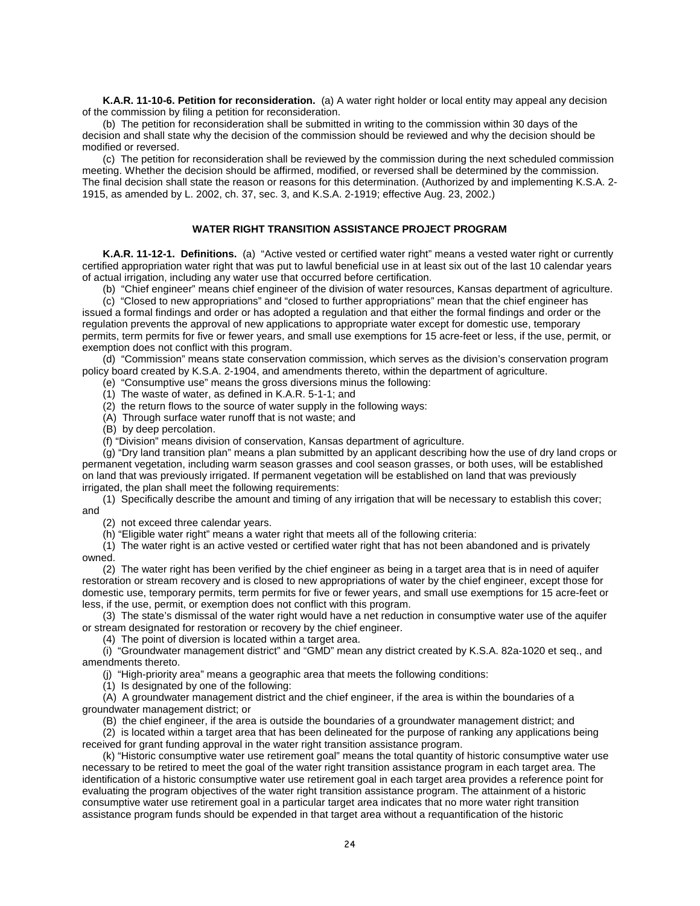<span id="page-27-0"></span>**K.A.R. 11-10-6. Petition for reconsideration.** (a) A water right holder or local entity may appeal any decision of the commission by filing a petition for reconsideration.

(b) The petition for reconsideration shall be submitted in writing to the commission within 30 days of the decision and shall state why the decision of the commission should be reviewed and why the decision should be modified or reversed.

(c) The petition for reconsideration shall be reviewed by the commission during the next scheduled commission meeting. Whether the decision should be affirmed, modified, or reversed shall be determined by the commission. The final decision shall state the reason or reasons for this determination. (Authorized by and implementing K.S.A. 2- 1915, as amended by L. 2002, ch. 37, sec. 3, and K.S.A. 2-1919; effective Aug. 23, 2002.)

#### **WATER RIGHT TRANSITION ASSISTANCE PROJECT PROGRAM**

<span id="page-27-2"></span><span id="page-27-1"></span>**K.A.R. 11-12-1. Definitions.** (a) "Active vested or certified water right" means a vested water right or currently certified appropriation water right that was put to lawful beneficial use in at least six out of the last 10 calendar years of actual irrigation, including any water use that occurred before certification.

(b) "Chief engineer" means chief engineer of the division of water resources, Kansas department of agriculture.

(c) "Closed to new appropriations" and "closed to further appropriations" mean that the chief engineer has issued a formal findings and order or has adopted a regulation and that either the formal findings and order or the regulation prevents the approval of new applications to appropriate water except for domestic use, temporary permits, term permits for five or fewer years, and small use exemptions for 15 acre-feet or less, if the use, permit, or exemption does not conflict with this program.

(d) "Commission" means state conservation commission, which serves as the division's conservation program policy board created by K.S.A. 2-1904, and amendments thereto, within the department of agriculture.

- (e) "Consumptive use" means the gross diversions minus the following:
- (1) The waste of water, as defined in K.A.R. 5-1-1; and
- (2) the return flows to the source of water supply in the following ways:
- (A) Through surface water runoff that is not waste; and
- (B) by deep percolation.
- (f) "Division" means division of conservation, Kansas department of agriculture.

(g) "Dry land transition plan" means a plan submitted by an applicant describing how the use of dry land crops or permanent vegetation, including warm season grasses and cool season grasses, or both uses, will be established on land that was previously irrigated. If permanent vegetation will be established on land that was previously irrigated, the plan shall meet the following requirements:

(1) Specifically describe the amount and timing of any irrigation that will be necessary to establish this cover; and

- (2) not exceed three calendar years.
- (h) "Eligible water right" means a water right that meets all of the following criteria:

(1) The water right is an active vested or certified water right that has not been abandoned and is privately owned.

(2) The water right has been verified by the chief engineer as being in a target area that is in need of aquifer restoration or stream recovery and is closed to new appropriations of water by the chief engineer, except those for domestic use, temporary permits, term permits for five or fewer years, and small use exemptions for 15 acre-feet or less, if the use, permit, or exemption does not conflict with this program.

(3) The state's dismissal of the water right would have a net reduction in consumptive water use of the aquifer or stream designated for restoration or recovery by the chief engineer.

(4) The point of diversion is located within a target area.

(i) "Groundwater management district" and "GMD" mean any district created by K.S.A. 82a-1020 et seq., and amendments thereto.

(j) "High-priority area" means a geographic area that meets the following conditions:

(1) Is designated by one of the following:

(A) A groundwater management district and the chief engineer, if the area is within the boundaries of a groundwater management district; or

(B) the chief engineer, if the area is outside the boundaries of a groundwater management district; and

(2) is located within a target area that has been delineated for the purpose of ranking any applications being received for grant funding approval in the water right transition assistance program.

(k) "Historic consumptive water use retirement goal" means the total quantity of historic consumptive water use necessary to be retired to meet the goal of the water right transition assistance program in each target area. The identification of a historic consumptive water use retirement goal in each target area provides a reference point for evaluating the program objectives of the water right transition assistance program. The attainment of a historic consumptive water use retirement goal in a particular target area indicates that no more water right transition assistance program funds should be expended in that target area without a requantification of the historic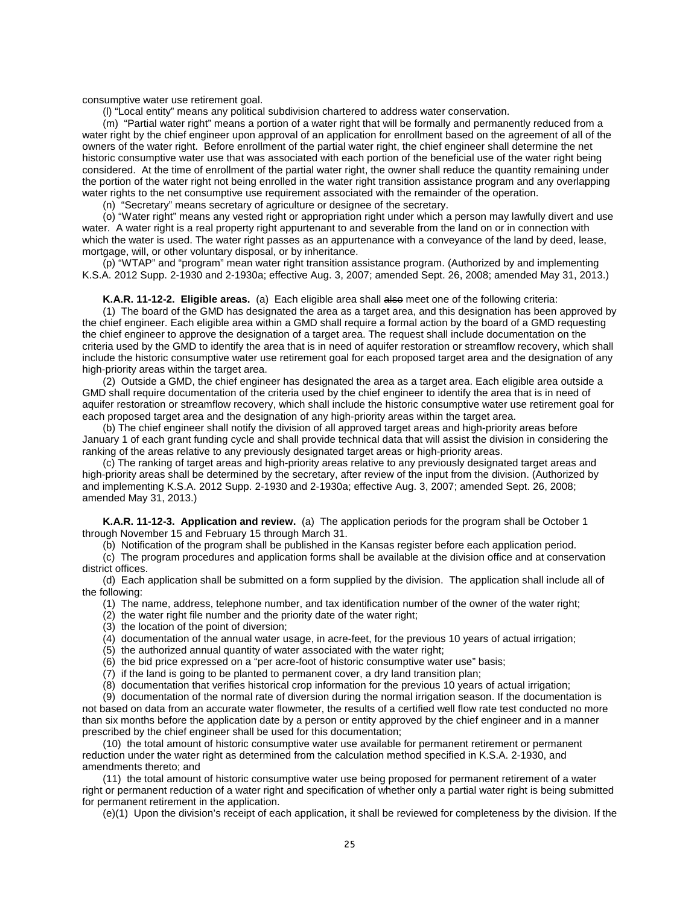consumptive water use retirement goal.

(l) "Local entity" means any political subdivision chartered to address water conservation.

(m) "Partial water right" means a portion of a water right that will be formally and permanently reduced from a water right by the chief engineer upon approval of an application for enrollment based on the agreement of all of the owners of the water right. Before enrollment of the partial water right, the chief engineer shall determine the net historic consumptive water use that was associated with each portion of the beneficial use of the water right being considered. At the time of enrollment of the partial water right, the owner shall reduce the quantity remaining under the portion of the water right not being enrolled in the water right transition assistance program and any overlapping water rights to the net consumptive use requirement associated with the remainder of the operation.

(n) "Secretary" means secretary of agriculture or designee of the secretary.

(o) "Water right" means any vested right or appropriation right under which a person may lawfully divert and use water. A water right is a real property right appurtenant to and severable from the land on or in connection with which the water is used. The water right passes as an appurtenance with a conveyance of the land by deed, lease, mortgage, will, or other voluntary disposal, or by inheritance.

(p) "WTAP" and "program" mean water right transition assistance program. (Authorized by and implementing K.S.A. 2012 Supp. 2-1930 and 2-1930a; effective Aug. 3, 2007; amended Sept. 26, 2008; amended May 31, 2013.)

**K.A.R. 11-12-2. Eligible areas.** (a) Each eligible area shall also meet one of the following criteria:

<span id="page-28-0"></span>(1) The board of the GMD has designated the area as a target area, and this designation has been approved by the chief engineer. Each eligible area within a GMD shall require a formal action by the board of a GMD requesting the chief engineer to approve the designation of a target area. The request shall include documentation on the criteria used by the GMD to identify the area that is in need of aquifer restoration or streamflow recovery, which shall include the historic consumptive water use retirement goal for each proposed target area and the designation of any high-priority areas within the target area.

(2) Outside a GMD, the chief engineer has designated the area as a target area. Each eligible area outside a GMD shall require documentation of the criteria used by the chief engineer to identify the area that is in need of aquifer restoration or streamflow recovery, which shall include the historic consumptive water use retirement goal for each proposed target area and the designation of any high-priority areas within the target area.

(b) The chief engineer shall notify the division of all approved target areas and high-priority areas before January 1 of each grant funding cycle and shall provide technical data that will assist the division in considering the ranking of the areas relative to any previously designated target areas or high-priority areas.

(c) The ranking of target areas and high-priority areas relative to any previously designated target areas and high-priority areas shall be determined by the secretary, after review of the input from the division. (Authorized by and implementing K.S.A. 2012 Supp. 2-1930 and 2-1930a; effective Aug. 3, 2007; amended Sept. 26, 2008; amended May 31, 2013.)

<span id="page-28-1"></span>**K.A.R. 11-12-3. Application and review.** (a) The application periods for the program shall be October 1 through November 15 and February 15 through March 31.

(b) Notification of the program shall be published in the Kansas register before each application period.

(c) The program procedures and application forms shall be available at the division office and at conservation district offices.

(d) Each application shall be submitted on a form supplied by the division. The application shall include all of the following:

- (1) The name, address, telephone number, and tax identification number of the owner of the water right;
- (2) the water right file number and the priority date of the water right;
- (3) the location of the point of diversion;
- (4) documentation of the annual water usage, in acre-feet, for the previous 10 years of actual irrigation;
- (5) the authorized annual quantity of water associated with the water right;
- (6) the bid price expressed on a "per acre-foot of historic consumptive water use" basis;
- (7) if the land is going to be planted to permanent cover, a dry land transition plan;
- (8) documentation that verifies historical crop information for the previous 10 years of actual irrigation;

(9) documentation of the normal rate of diversion during the normal irrigation season. If the documentation is not based on data from an accurate water flowmeter, the results of a certified well flow rate test conducted no more than six months before the application date by a person or entity approved by the chief engineer and in a manner prescribed by the chief engineer shall be used for this documentation;

(10) the total amount of historic consumptive water use available for permanent retirement or permanent reduction under the water right as determined from the calculation method specified in K.S.A. 2-1930, and amendments thereto; and

(11) the total amount of historic consumptive water use being proposed for permanent retirement of a water right or permanent reduction of a water right and specification of whether only a partial water right is being submitted for permanent retirement in the application.

(e)(1) Upon the division's receipt of each application, it shall be reviewed for completeness by the division. If the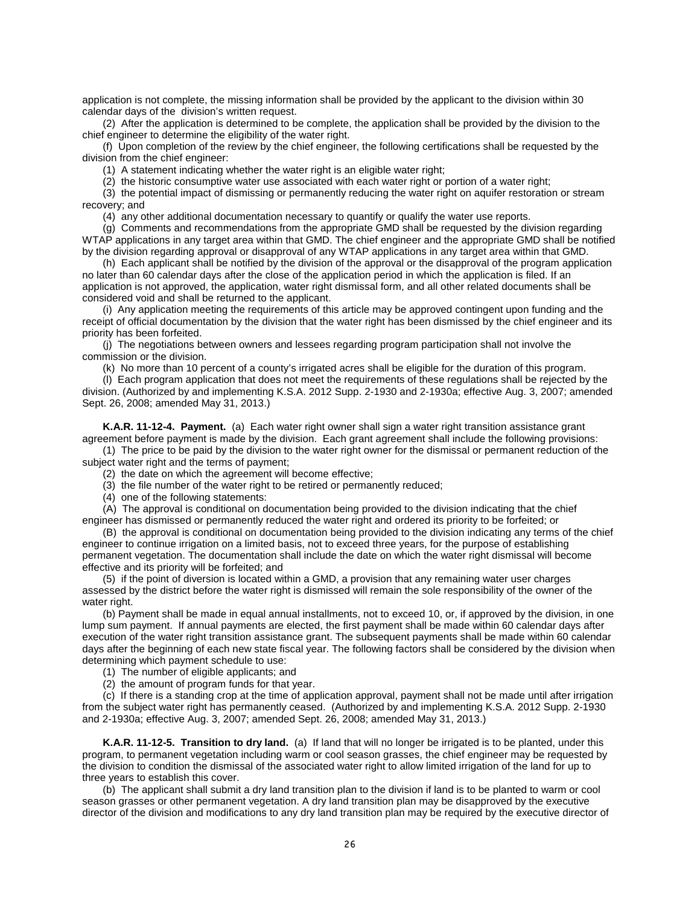application is not complete, the missing information shall be provided by the applicant to the division within 30 calendar days of the division's written request.

(2) After the application is determined to be complete, the application shall be provided by the division to the chief engineer to determine the eligibility of the water right.

(f) Upon completion of the review by the chief engineer, the following certifications shall be requested by the division from the chief engineer:

(1) A statement indicating whether the water right is an eligible water right;

(2) the historic consumptive water use associated with each water right or portion of a water right;

(3) the potential impact of dismissing or permanently reducing the water right on aquifer restoration or stream recovery; and

(4) any other additional documentation necessary to quantify or qualify the water use reports.

(g) Comments and recommendations from the appropriate GMD shall be requested by the division regarding WTAP applications in any target area within that GMD. The chief engineer and the appropriate GMD shall be notified by the division regarding approval or disapproval of any WTAP applications in any target area within that GMD.

(h) Each applicant shall be notified by the division of the approval or the disapproval of the program application no later than 60 calendar days after the close of the application period in which the application is filed. If an application is not approved, the application, water right dismissal form, and all other related documents shall be considered void and shall be returned to the applicant.

(i) Any application meeting the requirements of this article may be approved contingent upon funding and the receipt of official documentation by the division that the water right has been dismissed by the chief engineer and its priority has been forfeited.

(j) The negotiations between owners and lessees regarding program participation shall not involve the commission or the division.

(k) No more than 10 percent of a county's irrigated acres shall be eligible for the duration of this program.

(l) Each program application that does not meet the requirements of these regulations shall be rejected by the division. (Authorized by and implementing K.S.A. 2012 Supp. 2-1930 and 2-1930a; effective Aug. 3, 2007; amended Sept. 26, 2008; amended May 31, 2013.)

<span id="page-29-0"></span>**K.A.R. 11-12-4. Payment.** (a) Each water right owner shall sign a water right transition assistance grant agreement before payment is made by the division. Each grant agreement shall include the following provisions:

- (1) The price to be paid by the division to the water right owner for the dismissal or permanent reduction of the subject water right and the terms of payment:
	- (2) the date on which the agreement will become effective;
	- (3) the file number of the water right to be retired or permanently reduced;
	- (4) one of the following statements:

(A) The approval is conditional on documentation being provided to the division indicating that the chief engineer has dismissed or permanently reduced the water right and ordered its priority to be forfeited; or

(B) the approval is conditional on documentation being provided to the division indicating any terms of the chief engineer to continue irrigation on a limited basis, not to exceed three years, for the purpose of establishing permanent vegetation. The documentation shall include the date on which the water right dismissal will become effective and its priority will be forfeited; and

(5) if the point of diversion is located within a GMD, a provision that any remaining water user charges assessed by the district before the water right is dismissed will remain the sole responsibility of the owner of the water right.

(b) Payment shall be made in equal annual installments, not to exceed 10, or, if approved by the division, in one lump sum payment. If annual payments are elected, the first payment shall be made within 60 calendar days after execution of the water right transition assistance grant. The subsequent payments shall be made within 60 calendar days after the beginning of each new state fiscal year. The following factors shall be considered by the division when determining which payment schedule to use:

(1) The number of eligible applicants; and

(2) the amount of program funds for that year.

(c) If there is a standing crop at the time of application approval, payment shall not be made until after irrigation from the subject water right has permanently ceased. (Authorized by and implementing K.S.A. 2012 Supp. 2-1930 and 2-1930a; effective Aug. 3, 2007; amended Sept. 26, 2008; amended May 31, 2013.)

<span id="page-29-1"></span>**K.A.R. 11-12-5. Transition to dry land.** (a) If land that will no longer be irrigated is to be planted, under this program, to permanent vegetation including warm or cool season grasses, the chief engineer may be requested by the division to condition the dismissal of the associated water right to allow limited irrigation of the land for up to three years to establish this cover.

(b) The applicant shall submit a dry land transition plan to the division if land is to be planted to warm or cool season grasses or other permanent vegetation. A dry land transition plan may be disapproved by the executive director of the division and modifications to any dry land transition plan may be required by the executive director of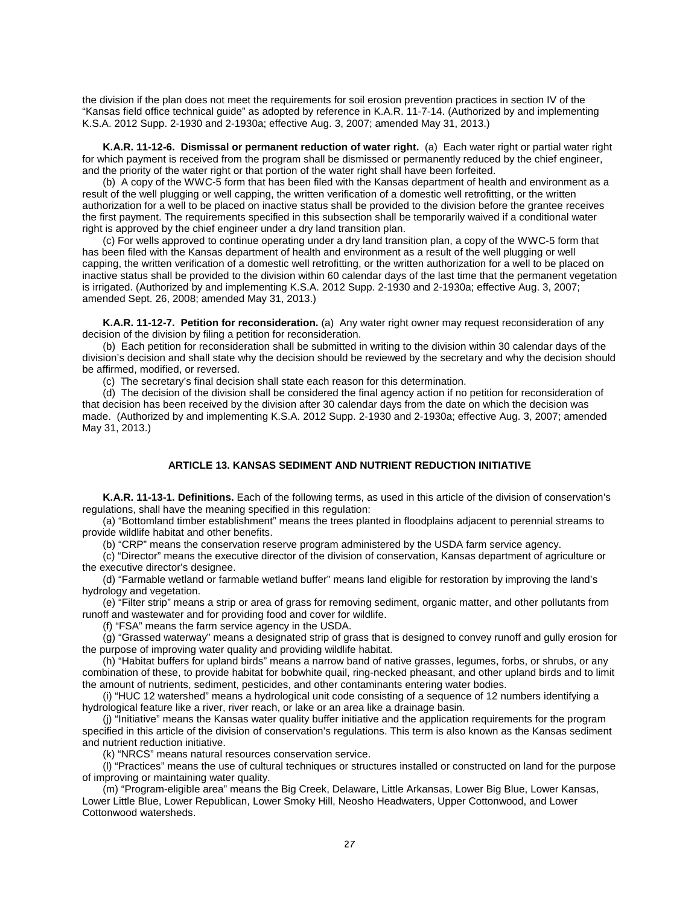the division if the plan does not meet the requirements for soil erosion prevention practices in section IV of the "Kansas field office technical guide" as adopted by reference in K.A.R. 11-7-14. (Authorized by and implementing K.S.A. 2012 Supp. 2-1930 and 2-1930a; effective Aug. 3, 2007; amended May 31, 2013.)

<span id="page-30-0"></span>**K.A.R. 11-12-6. Dismissal or permanent reduction of water right.** (a) Each water right or partial water right for which payment is received from the program shall be dismissed or permanently reduced by the chief engineer, and the priority of the water right or that portion of the water right shall have been forfeited.

(b) A copy of the WWC-5 form that has been filed with the Kansas department of health and environment as a result of the well plugging or well capping, the written verification of a domestic well retrofitting, or the written authorization for a well to be placed on inactive status shall be provided to the division before the grantee receives the first payment. The requirements specified in this subsection shall be temporarily waived if a conditional water right is approved by the chief engineer under a dry land transition plan.

(c) For wells approved to continue operating under a dry land transition plan, a copy of the WWC-5 form that has been filed with the Kansas department of health and environment as a result of the well plugging or well capping, the written verification of a domestic well retrofitting, or the written authorization for a well to be placed on inactive status shall be provided to the division within 60 calendar days of the last time that the permanent vegetation is irrigated. (Authorized by and implementing K.S.A. 2012 Supp. 2-1930 and 2-1930a; effective Aug. 3, 2007; amended Sept. 26, 2008; amended May 31, 2013.)

<span id="page-30-1"></span>**K.A.R. 11-12-7. Petition for reconsideration.** (a) Any water right owner may request reconsideration of any decision of the division by filing a petition for reconsideration.

(b) Each petition for reconsideration shall be submitted in writing to the division within 30 calendar days of the division's decision and shall state why the decision should be reviewed by the secretary and why the decision should be affirmed, modified, or reversed.

(c) The secretary's final decision shall state each reason for this determination.

(d) The decision of the division shall be considered the final agency action if no petition for reconsideration of that decision has been received by the division after 30 calendar days from the date on which the decision was made. (Authorized by and implementing K.S.A. 2012 Supp. 2-1930 and 2-1930a; effective Aug. 3, 2007; amended May 31, 2013.)

#### **ARTICLE 13. KANSAS SEDIMENT AND NUTRIENT REDUCTION INITIATIVE**

<span id="page-30-3"></span><span id="page-30-2"></span>**K.A.R. 11-13-1. Definitions.** Each of the following terms, as used in this article of the division of conservation's regulations, shall have the meaning specified in this regulation:

(a) "Bottomland timber establishment" means the trees planted in floodplains adjacent to perennial streams to provide wildlife habitat and other benefits.

(b) "CRP" means the conservation reserve program administered by the USDA farm service agency.

(c) "Director" means the executive director of the division of conservation, Kansas department of agriculture or the executive director's designee.

(d) "Farmable wetland or farmable wetland buffer" means land eligible for restoration by improving the land's hydrology and vegetation.

(e) "Filter strip" means a strip or area of grass for removing sediment, organic matter, and other pollutants from runoff and wastewater and for providing food and cover for wildlife.

(f) "FSA" means the farm service agency in the USDA.

(g) "Grassed waterway" means a designated strip of grass that is designed to convey runoff and gully erosion for the purpose of improving water quality and providing wildlife habitat.

(h) "Habitat buffers for upland birds" means a narrow band of native grasses, legumes, forbs, or shrubs, or any combination of these, to provide habitat for bobwhite quail, ring-necked pheasant, and other upland birds and to limit the amount of nutrients, sediment, pesticides, and other contaminants entering water bodies.

(i) "HUC 12 watershed" means a hydrological unit code consisting of a sequence of 12 numbers identifying a hydrological feature like a river, river reach, or lake or an area like a drainage basin.

(j) "Initiative" means the Kansas water quality buffer initiative and the application requirements for the program specified in this article of the division of conservation's regulations. This term is also known as the Kansas sediment and nutrient reduction initiative.

(k) "NRCS" means natural resources conservation service.

(l) "Practices" means the use of cultural techniques or structures installed or constructed on land for the purpose of improving or maintaining water quality.

(m) "Program-eligible area" means the Big Creek, Delaware, Little Arkansas, Lower Big Blue, Lower Kansas, Lower Little Blue, Lower Republican, Lower Smoky Hill, Neosho Headwaters, Upper Cottonwood, and Lower Cottonwood watersheds.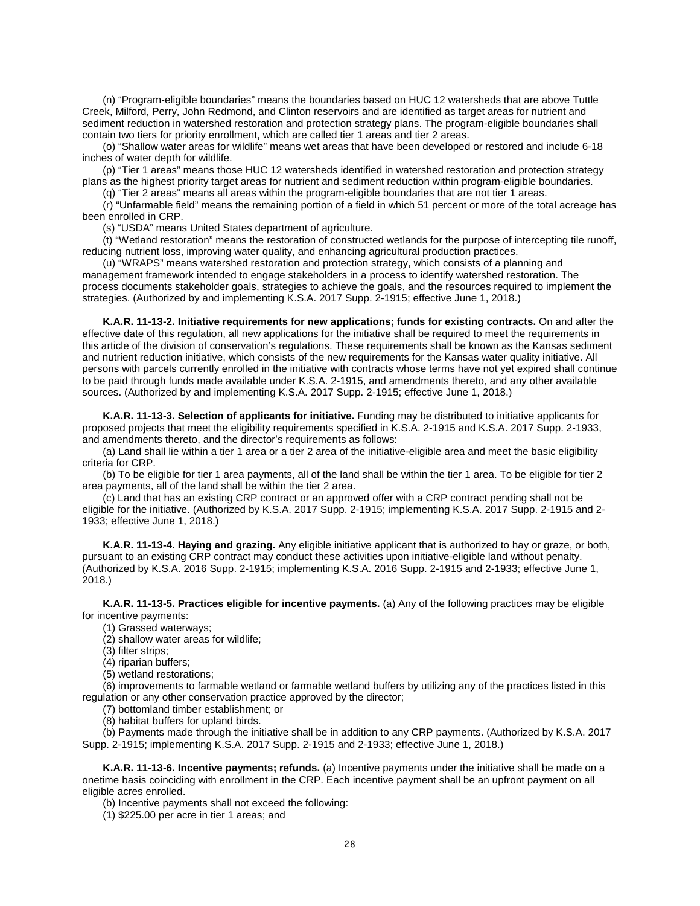(n) "Program-eligible boundaries" means the boundaries based on HUC 12 watersheds that are above Tuttle Creek, Milford, Perry, John Redmond, and Clinton reservoirs and are identified as target areas for nutrient and sediment reduction in watershed restoration and protection strategy plans. The program-eligible boundaries shall contain two tiers for priority enrollment, which are called tier 1 areas and tier 2 areas.

(o) "Shallow water areas for wildlife" means wet areas that have been developed or restored and include 6-18 inches of water depth for wildlife.

(p) "Tier 1 areas" means those HUC 12 watersheds identified in watershed restoration and protection strategy plans as the highest priority target areas for nutrient and sediment reduction within program-eligible boundaries.

(q) "Tier 2 areas" means all areas within the program-eligible boundaries that are not tier 1 areas.

(r) "Unfarmable field" means the remaining portion of a field in which 51 percent or more of the total acreage has been enrolled in CRP.

(s) "USDA" means United States department of agriculture.

(t) "Wetland restoration" means the restoration of constructed wetlands for the purpose of intercepting tile runoff, reducing nutrient loss, improving water quality, and enhancing agricultural production practices.

(u) "WRAPS" means watershed restoration and protection strategy, which consists of a planning and management framework intended to engage stakeholders in a process to identify watershed restoration. The process documents stakeholder goals, strategies to achieve the goals, and the resources required to implement the strategies. (Authorized by and implementing K.S.A. 2017 Supp. 2-1915; effective June 1, 2018.)

<span id="page-31-0"></span>**K.A.R. 11-13-2. Initiative requirements for new applications; funds for existing contracts.** On and after the effective date of this regulation, all new applications for the initiative shall be required to meet the requirements in this article of the division of conservation's regulations. These requirements shall be known as the Kansas sediment and nutrient reduction initiative, which consists of the new requirements for the Kansas water quality initiative. All persons with parcels currently enrolled in the initiative with contracts whose terms have not yet expired shall continue to be paid through funds made available under K.S.A. 2-1915, and amendments thereto, and any other available sources. (Authorized by and implementing K.S.A. 2017 Supp. 2-1915; effective June 1, 2018.)

<span id="page-31-1"></span>**K.A.R. 11-13-3. Selection of applicants for initiative.** Funding may be distributed to initiative applicants for proposed projects that meet the eligibility requirements specified in K.S.A. 2-1915 and K.S.A. 2017 Supp. 2-1933, and amendments thereto, and the director's requirements as follows:

(a) Land shall lie within a tier 1 area or a tier 2 area of the initiative-eligible area and meet the basic eligibility criteria for CRP.

(b) To be eligible for tier 1 area payments, all of the land shall be within the tier 1 area. To be eligible for tier 2 area payments, all of the land shall be within the tier 2 area.

(c) Land that has an existing CRP contract or an approved offer with a CRP contract pending shall not be eligible for the initiative. (Authorized by K.S.A. 2017 Supp. 2-1915; implementing K.S.A. 2017 Supp. 2-1915 and 2- 1933; effective June 1, 2018.)

<span id="page-31-2"></span>**K.A.R. 11-13-4. Haying and grazing.** Any eligible initiative applicant that is authorized to hay or graze, or both, pursuant to an existing CRP contract may conduct these activities upon initiative-eligible land without penalty. (Authorized by K.S.A. 2016 Supp. 2-1915; implementing K.S.A. 2016 Supp. 2-1915 and 2-1933; effective June 1, 2018.)

<span id="page-31-3"></span>**K.A.R. 11-13-5. Practices eligible for incentive payments.** (a) Any of the following practices may be eligible for incentive payments:

(1) Grassed waterways;

(2) shallow water areas for wildlife;

(3) filter strips;

(4) riparian buffers;

(5) wetland restorations;

(6) improvements to farmable wetland or farmable wetland buffers by utilizing any of the practices listed in this regulation or any other conservation practice approved by the director;

(7) bottomland timber establishment; or

(8) habitat buffers for upland birds.

(b) Payments made through the initiative shall be in addition to any CRP payments. (Authorized by K.S.A. 2017 Supp. 2-1915; implementing K.S.A. 2017 Supp. 2-1915 and 2-1933; effective June 1, 2018.)

<span id="page-31-4"></span>**K.A.R. 11-13-6. Incentive payments; refunds.** (a) Incentive payments under the initiative shall be made on a onetime basis coinciding with enrollment in the CRP. Each incentive payment shall be an upfront payment on all eligible acres enrolled.

(b) Incentive payments shall not exceed the following:

(1) \$225.00 per acre in tier 1 areas; and